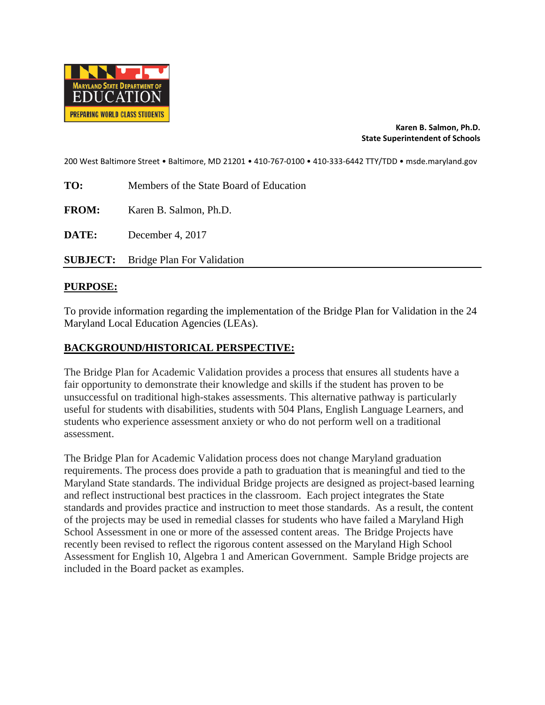

### **Karen B. Salmon, Ph.D. State Superintendent of Schools**

200 West Baltimore Street • Baltimore, MD 21201 • 410-767-0100 • 410-333-6442 TTY/TDD • msde.maryland.gov

**TO:** Members of the State Board of Education

**FROM:** Karen B. Salmon, Ph.D.

**DATE:** December 4, 2017

**SUBJECT:** Bridge Plan For Validation

### **PURPOSE:**

To provide information regarding the implementation of the Bridge Plan for Validation in the 24 Maryland Local Education Agencies (LEAs).

### **BACKGROUND/HISTORICAL PERSPECTIVE:**

The Bridge Plan for Academic Validation provides a process that ensures all students have a fair opportunity to demonstrate their knowledge and skills if the student has proven to be unsuccessful on traditional high-stakes assessments. This alternative pathway is particularly useful for students with disabilities, students with 504 Plans, English Language Learners, and students who experience assessment anxiety or who do not perform well on a traditional assessment.

The Bridge Plan for Academic Validation process does not change Maryland graduation requirements. The process does provide a path to graduation that is meaningful and tied to the Maryland State standards. The individual Bridge projects are designed as project-based learning and reflect instructional best practices in the classroom. Each project integrates the State standards and provides practice and instruction to meet those standards. As a result, the content of the projects may be used in remedial classes for students who have failed a Maryland High School Assessment in one or more of the assessed content areas. The Bridge Projects have recently been revised to reflect the rigorous content assessed on the Maryland High School Assessment for English 10, Algebra 1 and American Government. Sample Bridge projects are included in the Board packet as examples.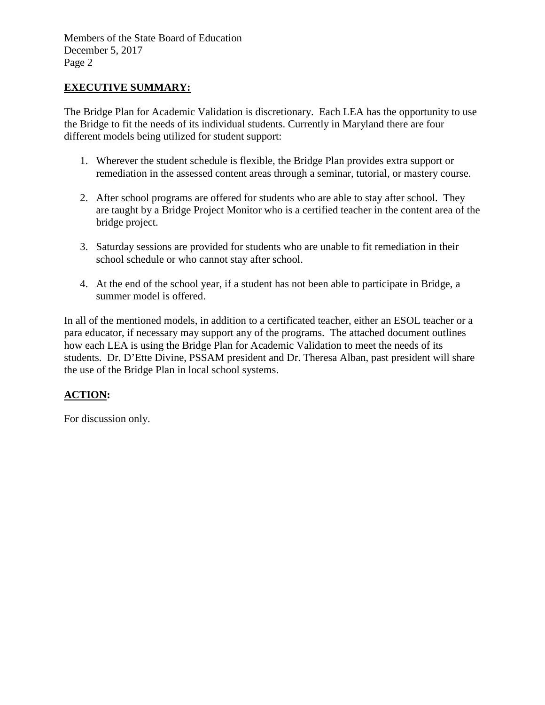Members of the State Board of Education December 5, 2017 Page 2

### **EXECUTIVE SUMMARY:**

The Bridge Plan for Academic Validation is discretionary. Each LEA has the opportunity to use the Bridge to fit the needs of its individual students. Currently in Maryland there are four different models being utilized for student support:

- 1. Wherever the student schedule is flexible, the Bridge Plan provides extra support or remediation in the assessed content areas through a seminar, tutorial, or mastery course.
- 2. After school programs are offered for students who are able to stay after school. They are taught by a Bridge Project Monitor who is a certified teacher in the content area of the bridge project.
- 3. Saturday sessions are provided for students who are unable to fit remediation in their school schedule or who cannot stay after school.
- 4. At the end of the school year, if a student has not been able to participate in Bridge, a summer model is offered.

In all of the mentioned models, in addition to a certificated teacher, either an ESOL teacher or a para educator, if necessary may support any of the programs. The attached document outlines how each LEA is using the Bridge Plan for Academic Validation to meet the needs of its students. Dr. D'Ette Divine, PSSAM president and Dr. Theresa Alban, past president will share the use of the Bridge Plan in local school systems.

### **ACTION:**

For discussion only.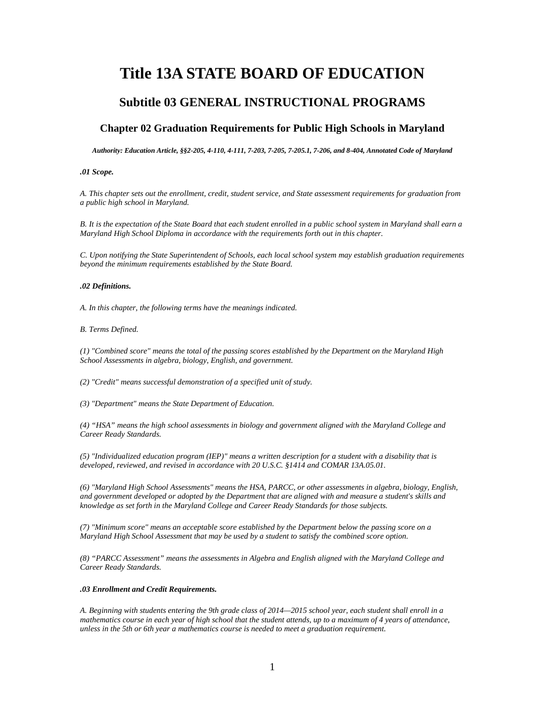# **Title 13A STATE BOARD OF EDUCATION**

### **Subtitle 03 GENERAL INSTRUCTIONAL PROGRAMS**

### **Chapter 02 Graduation Requirements for Public High Schools in Maryland**

*Authority: Education Article, §§2-205, 4-110, 4-111, 7-203, 7-205, 7-205.1, 7-206, and 8-404, Annotated Code of Maryland*

#### *.01 Scope.*

*A. This chapter sets out the enrollment, credit, student service, and State assessment requirements for graduation from a public high school in Maryland.*

*B. It is the expectation of the State Board that each student enrolled in a public school system in Maryland shall earn a Maryland High School Diploma in accordance with the requirements forth out in this chapter.*

*C. Upon notifying the State Superintendent of Schools, each local school system may establish graduation requirements beyond the minimum requirements established by the State Board.*

#### *.02 Definitions.*

*A. In this chapter, the following terms have the meanings indicated.*

#### *B. Terms Defined.*

*(1) "Combined score" means the total of the passing scores established by the Department on the Maryland High School Assessments in algebra, biology, English, and government.*

*(2) "Credit" means successful demonstration of a specified unit of study.*

*(3) "Department" means the State Department of Education.*

*(4) "HSA" means the high school assessments in biology and government aligned with the Maryland College and Career Ready Standards.*

*(5) "Individualized education program (IEP)" means a written description for a student with a disability that is developed, reviewed, and revised in accordance with 20 U.S.C. §1414 and COMAR 13A.05.01.*

*(6) "Maryland High School Assessments" means the HSA, PARCC, or other assessments in algebra, biology, English, and government developed or adopted by the Department that are aligned with and measure a student's skills and knowledge as set forth in the Maryland College and Career Ready Standards for those subjects.*

*(7) "Minimum score" means an acceptable score established by the Department below the passing score on a Maryland High School Assessment that may be used by a student to satisfy the combined score option.*

*(8) "PARCC Assessment" means the assessments in Algebra and English aligned with the Maryland College and Career Ready Standards.*

#### *.03 Enrollment and Credit Requirements.*

*A. Beginning with students entering the 9th grade class of 2014—2015 school year, each student shall enroll in a mathematics course in each year of high school that the student attends, up to a maximum of 4 years of attendance, unless in the 5th or 6th year a mathematics course is needed to meet a graduation requirement.*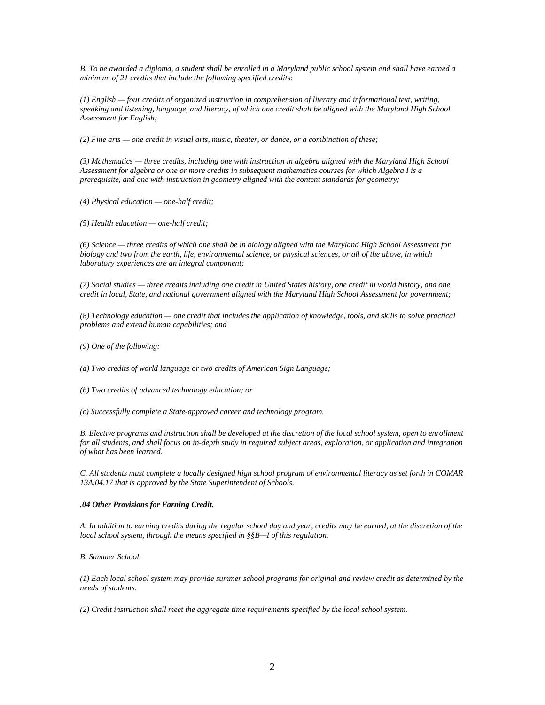*B. To be awarded a diploma, a student shall be enrolled in a Maryland public school system and shall have earned a minimum of 21 credits that include the following specified credits:*

*(1) English — four credits of organized instruction in comprehension of literary and informational text, writing, speaking and listening, language, and literacy, of which one credit shall be aligned with the Maryland High School Assessment for English;*

*(2) Fine arts — one credit in visual arts, music, theater, or dance, or a combination of these;*

*(3) Mathematics — three credits, including one with instruction in algebra aligned with the Maryland High School Assessment for algebra or one or more credits in subsequent mathematics courses for which Algebra I is a prerequisite, and one with instruction in geometry aligned with the content standards for geometry;*

*(4) Physical education — one-half credit;*

*(5) Health education — one-half credit;*

*(6) Science — three credits of which one shall be in biology aligned with the Maryland High School Assessment for biology and two from the earth, life, environmental science, or physical sciences, or all of the above, in which laboratory experiences are an integral component;*

*(7) Social studies — three credits including one credit in United States history, one credit in world history, and one credit in local, State, and national government aligned with the Maryland High School Assessment for government;*

*(8) Technology education — one credit that includes the application of knowledge, tools, and skills to solve practical problems and extend human capabilities; and*

*(9) One of the following:*

*(a) Two credits of world language or two credits of American Sign Language;*

- *(b) Two credits of advanced technology education; or*
- *(c) Successfully complete a State-approved career and technology program.*

*B. Elective programs and instruction shall be developed at the discretion of the local school system, open to enrollment for all students, and shall focus on in-depth study in required subject areas, exploration, or application and integration of what has been learned.*

*C. All students must complete a locally designed high school program of environmental literacy as set forth in COMAR 13A.04.17 that is approved by the State Superintendent of Schools.*

#### *.04 Other Provisions for Earning Credit.*

*A. In addition to earning credits during the regular school day and year, credits may be earned, at the discretion of the local school system, through the means specified in §§B—I of this regulation.*

*B. Summer School.*

*(1) Each local school system may provide summer school programs for original and review credit as determined by the needs of students.*

*(2) Credit instruction shall meet the aggregate time requirements specified by the local school system.*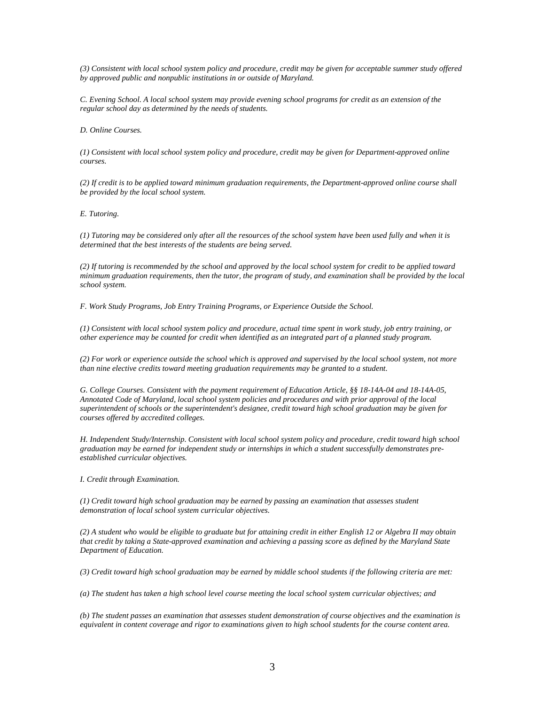*(3) Consistent with local school system policy and procedure, credit may be given for acceptable summer study offered by approved public and nonpublic institutions in or outside of Maryland.*

*C. Evening School. A local school system may provide evening school programs for credit as an extension of the regular school day as determined by the needs of students.*

*D. Online Courses.*

*(1) Consistent with local school system policy and procedure, credit may be given for Department-approved online courses.*

*(2) If credit is to be applied toward minimum graduation requirements, the Department-approved online course shall be provided by the local school system.*

*E. Tutoring.*

*(1) Tutoring may be considered only after all the resources of the school system have been used fully and when it is determined that the best interests of the students are being served.*

*(2) If tutoring is recommended by the school and approved by the local school system for credit to be applied toward minimum graduation requirements, then the tutor, the program of study, and examination shall be provided by the local school system.*

*F. Work Study Programs, Job Entry Training Programs, or Experience Outside the School.*

*(1) Consistent with local school system policy and procedure, actual time spent in work study, job entry training, or other experience may be counted for credit when identified as an integrated part of a planned study program.*

*(2) For work or experience outside the school which is approved and supervised by the local school system, not more than nine elective credits toward meeting graduation requirements may be granted to a student.*

*G. College Courses. Consistent with the payment requirement of Education Article, §§ 18-14A-04 and 18-14A-05, Annotated Code of Maryland, local school system policies and procedures and with prior approval of the local superintendent of schools or the superintendent's designee, credit toward high school graduation may be given for courses offered by accredited colleges.*

*H. Independent Study/Internship. Consistent with local school system policy and procedure, credit toward high school graduation may be earned for independent study or internships in which a student successfully demonstrates preestablished curricular objectives.*

*I. Credit through Examination.*

*(1) Credit toward high school graduation may be earned by passing an examination that assesses student demonstration of local school system curricular objectives.*

*(2) A student who would be eligible to graduate but for attaining credit in either English 12 or Algebra II may obtain that credit by taking a State-approved examination and achieving a passing score as defined by the Maryland State Department of Education.*

*(3) Credit toward high school graduation may be earned by middle school students if the following criteria are met:*

*(a) The student has taken a high school level course meeting the local school system curricular objectives; and*

*(b) The student passes an examination that assesses student demonstration of course objectives and the examination is equivalent in content coverage and rigor to examinations given to high school students for the course content area.*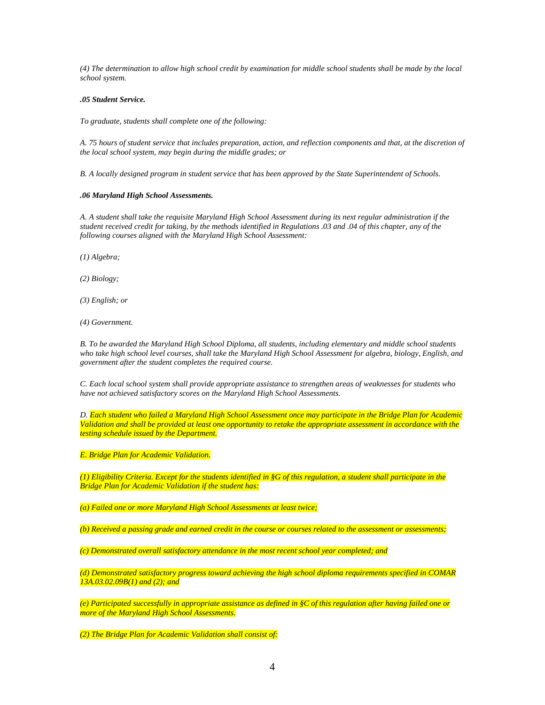*(4) The determination to allow high school credit by examination for middle school students shall be made by the local school system.*

#### *.05 Student Service.*

*To graduate, students shall complete one of the following:*

*A. 75 hours of student service that includes preparation, action, and reflection components and that, at the discretion of the local school system, may begin during the middle grades; or*

*B. A locally designed program in student service that has been approved by the State Superintendent of Schools.*

#### *.06 Maryland High School Assessments.*

*A. A student shall take the requisite Maryland High School Assessment during its next regular administration if the student received credit for taking, by the methods identified in Regulations .03 and .04 of this chapter, any of the following courses aligned with the Maryland High School Assessment:*

*(1) Algebra;*

*(2) Biology;*

*(3) English; or*

*(4) Government.*

*B. To be awarded the Maryland High School Diploma, all students, including elementary and middle school students who take high school level courses, shall take the Maryland High School Assessment for algebra, biology, English, and government after the student completes the required course.*

*C. Each local school system shall provide appropriate assistance to strengthen areas of weaknesses for students who have not achieved satisfactory scores on the Maryland High School Assessments.*

*D. Each student who failed a Maryland High School Assessment once may participate in the Bridge Plan for Academic Validation and shall be provided at least one opportunity to retake the appropriate assessment in accordance with the testing schedule issued by the Department.*

*E. Bridge Plan for Academic Validation.*

*(1) Eligibility Criteria. Except for the students identified in §G of this regulation, a student shall participate in the Bridge Plan for Academic Validation if the student has:*

*(a) Failed one or more Maryland High School Assessments at least twice;*

*(b) Received a passing grade and earned credit in the course or courses related to the assessment or assessments;*

*(c) Demonstrated overall satisfactory attendance in the most recent school year completed; and*

*(d) Demonstrated satisfactory progress toward achieving the high school diploma requirements specified in COMAR 13A.03.02.09B(1) and (2); and*

*(e) Participated successfully in appropriate assistance as defined in §C of this regulation after having failed one or more of the Maryland High School Assessments.*

*(2) The Bridge Plan for Academic Validation shall consist of:*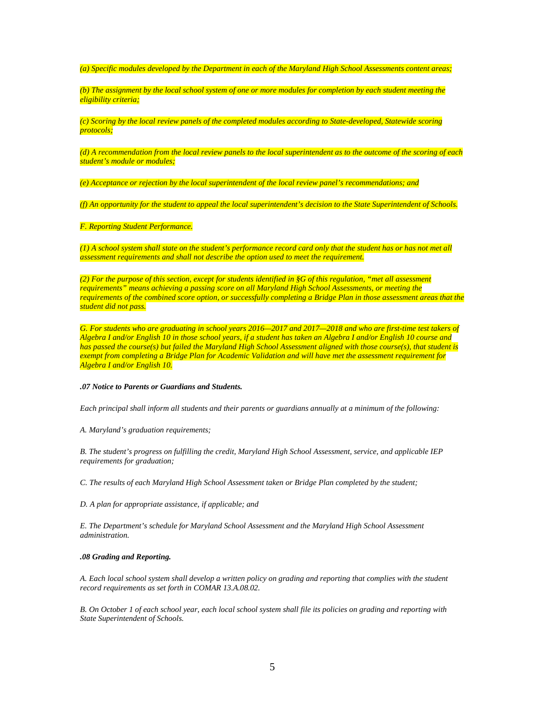*(a) Specific modules developed by the Department in each of the Maryland High School Assessments content areas;*

*(b) The assignment by the local school system of one or more modules for completion by each student meeting the eligibility criteria;*

*(c) Scoring by the local review panels of the completed modules according to State-developed, Statewide scoring protocols;*

*(d) A recommendation from the local review panels to the local superintendent as to the outcome of the scoring of each student's module or modules;*

*(e) Acceptance or rejection by the local superintendent of the local review panel's recommendations; and*

*(f) An opportunity for the student to appeal the local superintendent's decision to the State Superintendent of Schools.*

*F. Reporting Student Performance.*

*(1) A school system shall state on the student's performance record card only that the student has or has not met all assessment requirements and shall not describe the option used to meet the requirement.*

*(2) For the purpose of this section, except for students identified in §G of this regulation, "met all assessment requirements" means achieving a passing score on all Maryland High School Assessments, or meeting the requirements of the combined score option, or successfully completing a Bridge Plan in those assessment areas that the student did not pass.*

G. For students who are graduating in school years 2016—2017 and 2017—2018 and who are first-time test takers of *Algebra I and/or English 10 in those school years, if a student has taken an Algebra I and/or English 10 course and has passed the course(s) but failed the Maryland High School Assessment aligned with those course(s), that student is exempt from completing a Bridge Plan for Academic Validation and will have met the assessment requirement for Algebra I and/or English 10.*

#### *.07 Notice to Parents or Guardians and Students.*

*Each principal shall inform all students and their parents or guardians annually at a minimum of the following:*

*A. Maryland's graduation requirements;*

*B. The student's progress on fulfilling the credit, Maryland High School Assessment, service, and applicable IEP requirements for graduation;*

*C. The results of each Maryland High School Assessment taken or Bridge Plan completed by the student;*

*D. A plan for appropriate assistance, if applicable; and*

*E. The Department's schedule for Maryland School Assessment and the Maryland High School Assessment administration.*

#### *.08 Grading and Reporting.*

*A. Each local school system shall develop a written policy on grading and reporting that complies with the student record requirements as set forth in COMAR 13.A.08.02.*

*B. On October 1 of each school year, each local school system shall file its policies on grading and reporting with State Superintendent of Schools.*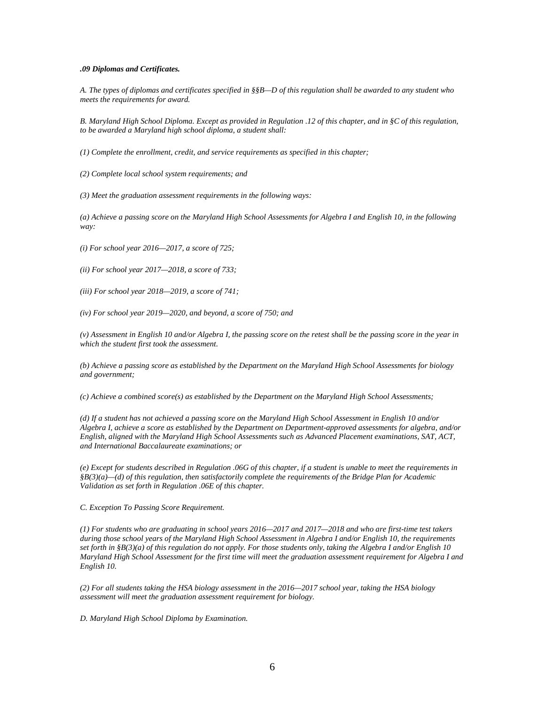#### *.09 Diplomas and Certificates.*

*A. The types of diplomas and certificates specified in §§B—D of this regulation shall be awarded to any student who meets the requirements for award.*

*B. Maryland High School Diploma. Except as provided in Regulation .12 of this chapter, and in §C of this regulation, to be awarded a Maryland high school diploma, a student shall:*

*(1) Complete the enrollment, credit, and service requirements as specified in this chapter;*

*(2) Complete local school system requirements; and*

*(3) Meet the graduation assessment requirements in the following ways:*

(a) Achieve a passing score on the Maryland High School Assessments for Algebra I and English 10, in the following *way:*

*(i) For school year 2016—2017, a score of 725;*

*(ii) For school year 2017—2018, a score of 733;*

*(iii) For school year 2018—2019, a score of 741;*

*(iv) For school year 2019—2020, and beyond, a score of 750; and*

*(v) Assessment in English 10 and/or Algebra I, the passing score on the retest shall be the passing score in the year in which the student first took the assessment.*

*(b) Achieve a passing score as established by the Department on the Maryland High School Assessments for biology and government;*

*(c) Achieve a combined score(s) as established by the Department on the Maryland High School Assessments;*

*(d) If a student has not achieved a passing score on the Maryland High School Assessment in English 10 and/or Algebra I, achieve a score as established by the Department on Department-approved assessments for algebra, and/or English, aligned with the Maryland High School Assessments such as Advanced Placement examinations, SAT, ACT, and International Baccalaureate examinations; or*

*(e) Except for students described in Regulation .06G of this chapter, if a student is unable to meet the requirements in §B(3)(a)—(d) of this regulation, then satisfactorily complete the requirements of the Bridge Plan for Academic Validation as set forth in Regulation .06E of this chapter.*

*C. Exception To Passing Score Requirement.*

*(1) For students who are graduating in school years 2016—2017 and 2017—2018 and who are first-time test takers during those school years of the Maryland High School Assessment in Algebra I and/or English 10, the requirements set forth in §B(3)(a) of this regulation do not apply. For those students only, taking the Algebra I and/or English 10 Maryland High School Assessment for the first time will meet the graduation assessment requirement for Algebra I and English 10.*

*(2) For all students taking the HSA biology assessment in the 2016—2017 school year, taking the HSA biology assessment will meet the graduation assessment requirement for biology.*

*D. Maryland High School Diploma by Examination.*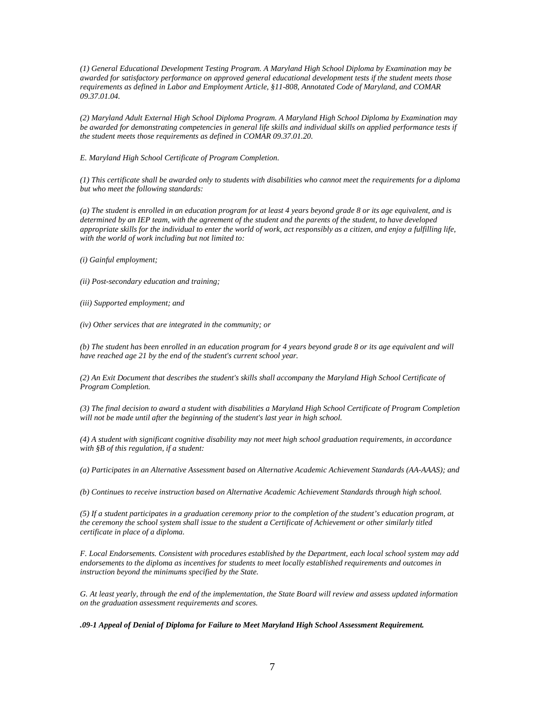*(1) General Educational Development Testing Program. A Maryland High School Diploma by Examination may be awarded for satisfactory performance on approved general educational development tests if the student meets those requirements as defined in Labor and Employment Article, §11-808, Annotated Code of Maryland, and COMAR 09.37.01.04.*

*(2) Maryland Adult External High School Diploma Program. A Maryland High School Diploma by Examination may be awarded for demonstrating competencies in general life skills and individual skills on applied performance tests if the student meets those requirements as defined in COMAR 09.37.01.20.*

*E. Maryland High School Certificate of Program Completion.*

*(1) This certificate shall be awarded only to students with disabilities who cannot meet the requirements for a diploma but who meet the following standards:*

*(a) The student is enrolled in an education program for at least 4 years beyond grade 8 or its age equivalent, and is determined by an IEP team, with the agreement of the student and the parents of the student, to have developed appropriate skills for the individual to enter the world of work, act responsibly as a citizen, and enjoy a fulfilling life, with the world of work including but not limited to:*

*(i) Gainful employment;*

*(ii) Post-secondary education and training;*

*(iii) Supported employment; and*

*(iv) Other services that are integrated in the community; or*

(b) The student has been enrolled in an education program for 4 years beyond grade 8 or its age equivalent and will *have reached age 21 by the end of the student's current school year.*

*(2) An Exit Document that describes the student's skills shall accompany the Maryland High School Certificate of Program Completion.*

*(3) The final decision to award a student with disabilities a Maryland High School Certificate of Program Completion will not be made until after the beginning of the student's last year in high school.*

*(4) A student with significant cognitive disability may not meet high school graduation requirements, in accordance with §B of this regulation, if a student:*

*(a) Participates in an Alternative Assessment based on Alternative Academic Achievement Standards (AA-AAAS); and*

*(b) Continues to receive instruction based on Alternative Academic Achievement Standards through high school.*

*(5) If a student participates in a graduation ceremony prior to the completion of the student's education program, at the ceremony the school system shall issue to the student a Certificate of Achievement or other similarly titled certificate in place of a diploma.*

*F. Local Endorsements. Consistent with procedures established by the Department, each local school system may add endorsements to the diploma as incentives for students to meet locally established requirements and outcomes in instruction beyond the minimums specified by the State.*

*G. At least yearly, through the end of the implementation, the State Board will review and assess updated information on the graduation assessment requirements and scores.*

*.09-1 Appeal of Denial of Diploma for Failure to Meet Maryland High School Assessment Requirement.*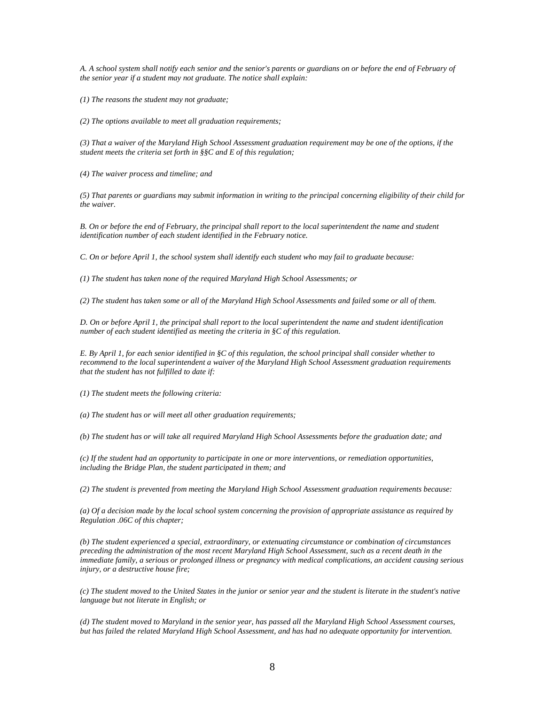*A. A school system shall notify each senior and the senior's parents or guardians on or before the end of February of the senior year if a student may not graduate. The notice shall explain:*

*(1) The reasons the student may not graduate;*

*(2) The options available to meet all graduation requirements;*

*(3) That a waiver of the Maryland High School Assessment graduation requirement may be one of the options, if the student meets the criteria set forth in §§C and E of this regulation;*

*(4) The waiver process and timeline; and*

*(5) That parents or guardians may submit information in writing to the principal concerning eligibility of their child for the waiver.*

*B.* On or before the end of February, the principal shall report to the local superintendent the name and student *identification number of each student identified in the February notice.*

*C. On or before April 1, the school system shall identify each student who may fail to graduate because:*

*(1) The student has taken none of the required Maryland High School Assessments; or*

*(2) The student has taken some or all of the Maryland High School Assessments and failed some or all of them.*

*D. On or before April 1, the principal shall report to the local superintendent the name and student identification number of each student identified as meeting the criteria in §C of this regulation.*

*E. By April 1, for each senior identified in §C of this regulation, the school principal shall consider whether to recommend to the local superintendent a waiver of the Maryland High School Assessment graduation requirements that the student has not fulfilled to date if:*

*(1) The student meets the following criteria:*

*(a) The student has or will meet all other graduation requirements;*

*(b) The student has or will take all required Maryland High School Assessments before the graduation date; and*

*(c) If the student had an opportunity to participate in one or more interventions, or remediation opportunities, including the Bridge Plan, the student participated in them; and*

*(2) The student is prevented from meeting the Maryland High School Assessment graduation requirements because:*

*(a) Of a decision made by the local school system concerning the provision of appropriate assistance as required by Regulation .06C of this chapter;*

*(b) The student experienced a special, extraordinary, or extenuating circumstance or combination of circumstances preceding the administration of the most recent Maryland High School Assessment, such as a recent death in the immediate family, a serious or prolonged illness or pregnancy with medical complications, an accident causing serious injury, or a destructive house fire;*

*(c) The student moved to the United States in the junior or senior year and the student is literate in the student's native language but not literate in English; or*

*(d) The student moved to Maryland in the senior year, has passed all the Maryland High School Assessment courses, but has failed the related Maryland High School Assessment, and has had no adequate opportunity for intervention.*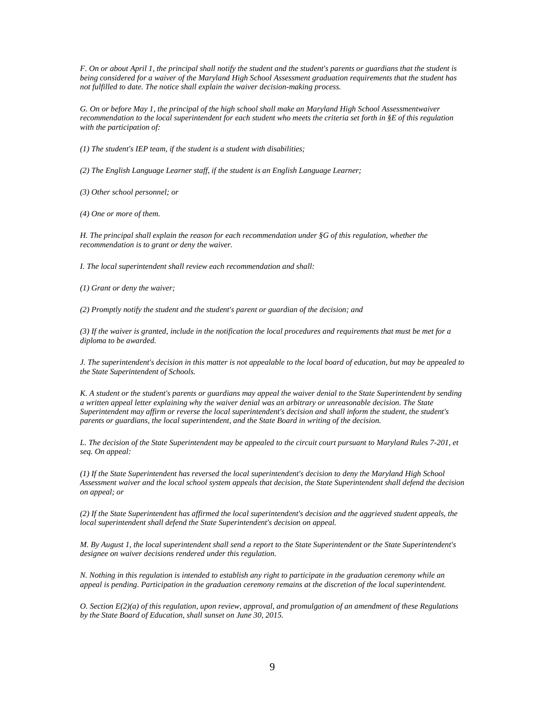*F. On or about April 1, the principal shall notify the student and the student's parents or guardians that the student is being considered for a waiver of the Maryland High School Assessment graduation requirements that the student has not fulfilled to date. The notice shall explain the waiver decision-making process.*

*G. On or before May 1, the principal of the high school shall make an Maryland High School Assessmentwaiver recommendation to the local superintendent for each student who meets the criteria set forth in §E of this regulation with the participation of:*

*(1) The student's IEP team, if the student is a student with disabilities;*

*(2) The English Language Learner staff, if the student is an English Language Learner;*

*(3) Other school personnel; or*

*(4) One or more of them.*

*H. The principal shall explain the reason for each recommendation under §G of this regulation, whether the recommendation is to grant or deny the waiver.*

*I. The local superintendent shall review each recommendation and shall:*

*(1) Grant or deny the waiver;*

*(2) Promptly notify the student and the student's parent or guardian of the decision; and*

*(3) If the waiver is granted, include in the notification the local procedures and requirements that must be met for a diploma to be awarded.*

*J. The superintendent's decision in this matter is not appealable to the local board of education, but may be appealed to the State Superintendent of Schools.*

*K. A student or the student's parents or guardians may appeal the waiver denial to the State Superintendent by sending a written appeal letter explaining why the waiver denial was an arbitrary or unreasonable decision. The State Superintendent may affirm or reverse the local superintendent's decision and shall inform the student, the student's parents or guardians, the local superintendent, and the State Board in writing of the decision.*

*L. The decision of the State Superintendent may be appealed to the circuit court pursuant to Maryland Rules 7-201, et seq. On appeal:*

*(1) If the State Superintendent has reversed the local superintendent's decision to deny the Maryland High School Assessment waiver and the local school system appeals that decision, the State Superintendent shall defend the decision on appeal; or*

*(2) If the State Superintendent has affirmed the local superintendent's decision and the aggrieved student appeals, the local superintendent shall defend the State Superintendent's decision on appeal.*

*M. By August 1, the local superintendent shall send a report to the State Superintendent or the State Superintendent's designee on waiver decisions rendered under this regulation.*

*N. Nothing in this regulation is intended to establish any right to participate in the graduation ceremony while an appeal is pending. Participation in the graduation ceremony remains at the discretion of the local superintendent.*

*O. Section E(2)(a) of this regulation, upon review, approval, and promulgation of an amendment of these Regulations by the State Board of Education, shall sunset on June 30, 2015.*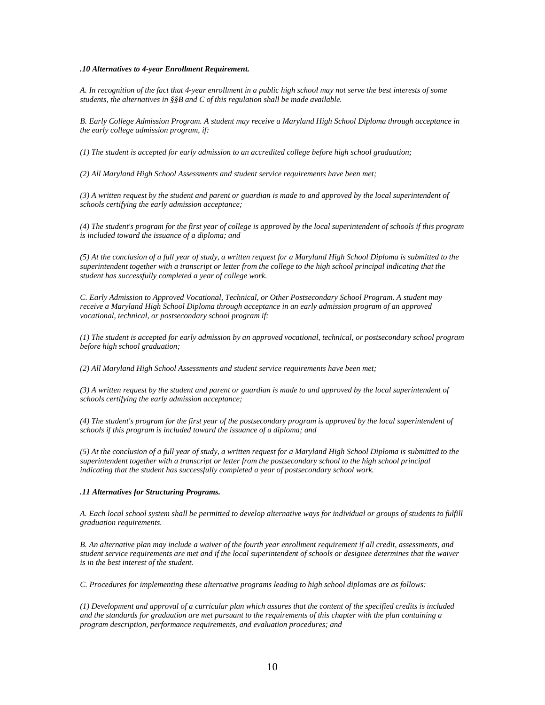#### *.10 Alternatives to 4-year Enrollment Requirement.*

*A. In recognition of the fact that 4-year enrollment in a public high school may not serve the best interests of some students, the alternatives in §§B and C of this regulation shall be made available.*

*B. Early College Admission Program. A student may receive a Maryland High School Diploma through acceptance in the early college admission program, if:*

*(1) The student is accepted for early admission to an accredited college before high school graduation;*

*(2) All Maryland High School Assessments and student service requirements have been met;*

*(3) A written request by the student and parent or guardian is made to and approved by the local superintendent of schools certifying the early admission acceptance;*

*(4) The student's program for the first year of college is approved by the local superintendent of schools if this program is included toward the issuance of a diploma; and*

*(5) At the conclusion of a full year of study, a written request for a Maryland High School Diploma is submitted to the superintendent together with a transcript or letter from the college to the high school principal indicating that the student has successfully completed a year of college work.*

*C. Early Admission to Approved Vocational, Technical, or Other Postsecondary School Program. A student may receive a Maryland High School Diploma through acceptance in an early admission program of an approved vocational, technical, or postsecondary school program if:*

*(1) The student is accepted for early admission by an approved vocational, technical, or postsecondary school program before high school graduation;*

*(2) All Maryland High School Assessments and student service requirements have been met;*

*(3) A written request by the student and parent or guardian is made to and approved by the local superintendent of schools certifying the early admission acceptance;*

*(4) The student's program for the first year of the postsecondary program is approved by the local superintendent of schools if this program is included toward the issuance of a diploma; and*

*(5) At the conclusion of a full year of study, a written request for a Maryland High School Diploma is submitted to the superintendent together with a transcript or letter from the postsecondary school to the high school principal indicating that the student has successfully completed a year of postsecondary school work.*

#### *.11 Alternatives for Structuring Programs.*

*A. Each local school system shall be permitted to develop alternative ways for individual or groups of students to fulfill graduation requirements.*

*B. An alternative plan may include a waiver of the fourth year enrollment requirement if all credit, assessments, and student service requirements are met and if the local superintendent of schools or designee determines that the waiver is in the best interest of the student.*

*C. Procedures for implementing these alternative programs leading to high school diplomas are as follows:*

*(1) Development and approval of a curricular plan which assures that the content of the specified credits is included and the standards for graduation are met pursuant to the requirements of this chapter with the plan containing a program description, performance requirements, and evaluation procedures; and*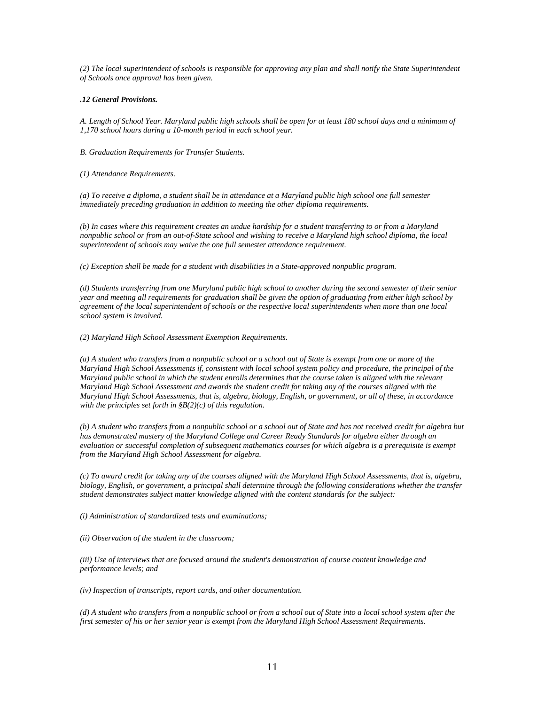*(2) The local superintendent of schools is responsible for approving any plan and shall notify the State Superintendent of Schools once approval has been given.*

#### *.12 General Provisions.*

*A. Length of School Year. Maryland public high schools shall be open for at least 180 school days and a minimum of 1,170 school hours during a 10-month period in each school year.*

*B. Graduation Requirements for Transfer Students.*

*(1) Attendance Requirements.*

*(a) To receive a diploma, a student shall be in attendance at a Maryland public high school one full semester immediately preceding graduation in addition to meeting the other diploma requirements.*

*(b) In cases where this requirement creates an undue hardship for a student transferring to or from a Maryland nonpublic school or from an out-of-State school and wishing to receive a Maryland high school diploma, the local superintendent of schools may waive the one full semester attendance requirement.*

*(c) Exception shall be made for a student with disabilities in a State-approved nonpublic program.*

*(d) Students transferring from one Maryland public high school to another during the second semester of their senior year and meeting all requirements for graduation shall be given the option of graduating from either high school by agreement of the local superintendent of schools or the respective local superintendents when more than one local school system is involved.*

*(2) Maryland High School Assessment Exemption Requirements.*

*(a) A student who transfers from a nonpublic school or a school out of State is exempt from one or more of the Maryland High School Assessments if, consistent with local school system policy and procedure, the principal of the Maryland public school in which the student enrolls determines that the course taken is aligned with the relevant Maryland High School Assessment and awards the student credit for taking any of the courses aligned with the Maryland High School Assessments, that is, algebra, biology, English, or government, or all of these, in accordance with the principles set forth in §B(2)(c) of this regulation.*

*(b) A student who transfers from a nonpublic school or a school out of State and has not received credit for algebra but has demonstrated mastery of the Maryland College and Career Ready Standards for algebra either through an evaluation or successful completion of subsequent mathematics courses for which algebra is a prerequisite is exempt from the Maryland High School Assessment for algebra.*

*(c) To award credit for taking any of the courses aligned with the Maryland High School Assessments, that is, algebra, biology, English, or government, a principal shall determine through the following considerations whether the transfer student demonstrates subject matter knowledge aligned with the content standards for the subject:*

*(i) Administration of standardized tests and examinations;*

*(ii) Observation of the student in the classroom;*

*(iii) Use of interviews that are focused around the student's demonstration of course content knowledge and performance levels; and*

*(iv) Inspection of transcripts, report cards, and other documentation.*

*(d) A student who transfers from a nonpublic school or from a school out of State into a local school system after the first semester of his or her senior year is exempt from the Maryland High School Assessment Requirements.*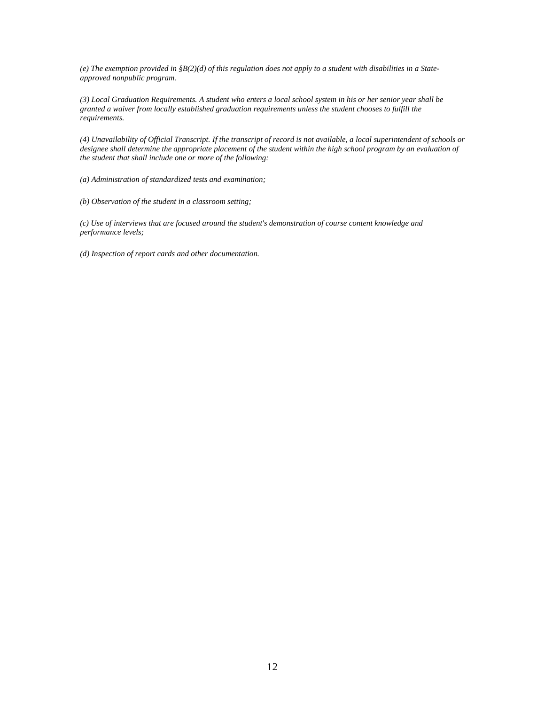*(e) The exemption provided in §B(2)(d) of this regulation does not apply to a student with disabilities in a Stateapproved nonpublic program.*

*(3) Local Graduation Requirements. A student who enters a local school system in his or her senior year shall be granted a waiver from locally established graduation requirements unless the student chooses to fulfill the requirements.*

*(4) Unavailability of Official Transcript. If the transcript of record is not available, a local superintendent of schools or*  designee shall determine the appropriate placement of the student within the high school program by an evaluation of *the student that shall include one or more of the following:*

*(a) Administration of standardized tests and examination;*

*(b) Observation of the student in a classroom setting;*

*(c) Use of interviews that are focused around the student's demonstration of course content knowledge and performance levels;*

*(d) Inspection of report cards and other documentation.*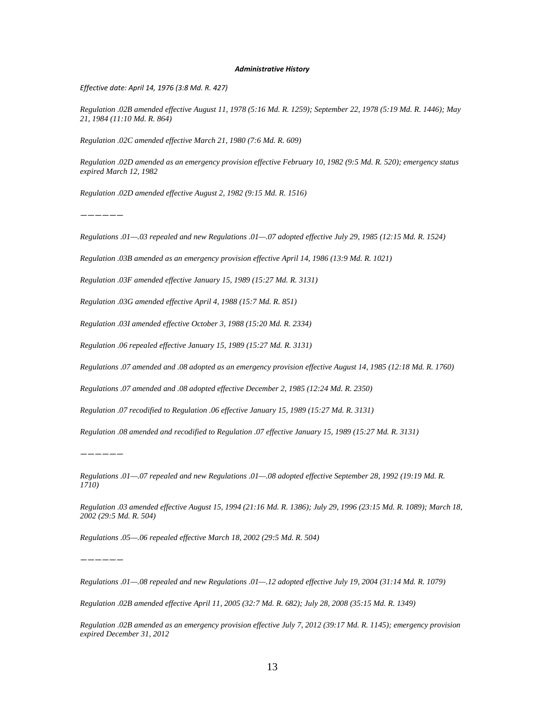#### *Administrative History*

*Effective date: April 14, 1976 (3:8 Md. R. 427)*

*Regulation .02B amended effective August 11, 1978 (5:16 Md. R. 1259); September 22, 1978 (5:19 Md. R. 1446); May 21, 1984 (11:10 Md. R. 864)*

*Regulation .02C amended effective March 21, 1980 (7:6 Md. R. 609)*

*Regulation .02D amended as an emergency provision effective February 10, 1982 (9:5 Md. R. 520); emergency status expired March 12, 1982*

*Regulation .02D amended effective August 2, 1982 (9:15 Md. R. 1516)*

*——————*

*Regulations .01—.03 repealed and new Regulations .01—.07 adopted effective July 29, 1985 (12:15 Md. R. 1524)*

*Regulation .03B amended as an emergency provision effective April 14, 1986 (13:9 Md. R. 1021)*

*Regulation .03F amended effective January 15, 1989 (15:27 Md. R. 3131)*

*Regulation .03G amended effective April 4, 1988 (15:7 Md. R. 851)*

*Regulation .03I amended effective October 3, 1988 (15:20 Md. R. 2334)*

*Regulation .06 repealed effective January 15, 1989 (15:27 Md. R. 3131)*

*Regulations .07 amended and .08 adopted as an emergency provision effective August 14, 1985 (12:18 Md. R. 1760)*

*Regulations .07 amended and .08 adopted effective December 2, 1985 (12:24 Md. R. 2350)*

*Regulation .07 recodified to Regulation .06 effective January 15, 1989 (15:27 Md. R. 3131)*

*Regulation .08 amended and recodified to Regulation .07 effective January 15, 1989 (15:27 Md. R. 3131)*

*——————*

*Regulations .01—.07 repealed and new Regulations .01—.08 adopted effective September 28, 1992 (19:19 Md. R. 1710)*

*Regulation .03 amended effective August 15, 1994 (21:16 Md. R. 1386); July 29, 1996 (23:15 Md. R. 1089); March 18, 2002 (29:5 Md. R. 504)*

*Regulations .05—.06 repealed effective March 18, 2002 (29:5 Md. R. 504)*

*——————*

*Regulations .01—.08 repealed and new Regulations .01—.12 adopted effective July 19, 2004 (31:14 Md. R. 1079)*

*Regulation .02B amended effective April 11, 2005 (32:7 Md. R. 682); July 28, 2008 (35:15 Md. R. 1349)*

*Regulation .02B amended as an emergency provision effective July 7, 2012 (39:17 Md. R. 1145); emergency provision expired December 31, 2012*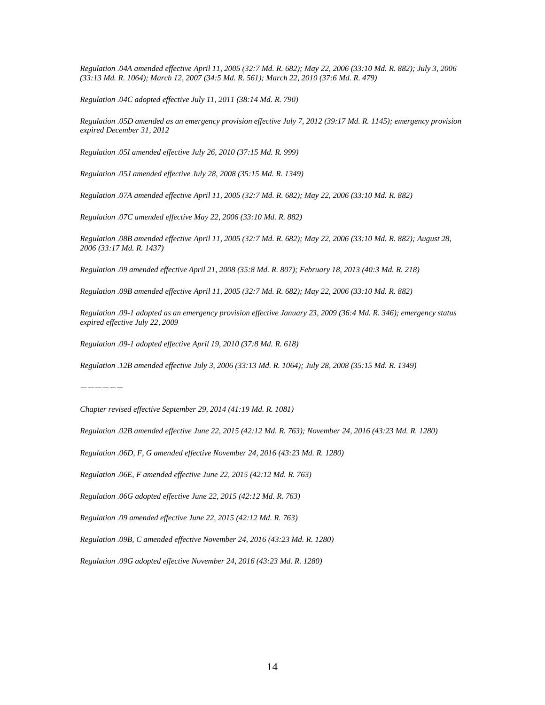*Regulation .04A amended effective April 11, 2005 (32:7 Md. R. 682); May 22, 2006 (33:10 Md. R. 882); July 3, 2006 (33:13 Md. R. 1064); March 12, 2007 (34:5 Md. R. 561); March 22, 2010 (37:6 Md. R. 479)*

*Regulation .04C adopted effective July 11, 2011 (38:14 Md. R. 790)*

*Regulation .05D amended as an emergency provision effective July 7, 2012 (39:17 Md. R. 1145); emergency provision expired December 31, 2012*

*Regulation .05I amended effective July 26, 2010 (37:15 Md. R. 999)*

*Regulation .05J amended effective July 28, 2008 (35:15 Md. R. 1349)*

*Regulation .07A amended effective April 11, 2005 (32:7 Md. R. 682); May 22, 2006 (33:10 Md. R. 882)*

*Regulation .07C amended effective May 22, 2006 (33:10 Md. R. 882)*

*Regulation .08B amended effective April 11, 2005 (32:7 Md. R. 682); May 22, 2006 (33:10 Md. R. 882); August 28, 2006 (33:17 Md. R. 1437)*

*Regulation .09 amended effective April 21, 2008 (35:8 Md. R. 807); February 18, 2013 (40:3 Md. R. 218)*

*Regulation .09B amended effective April 11, 2005 (32:7 Md. R. 682); May 22, 2006 (33:10 Md. R. 882)*

*Regulation .09-1 adopted as an emergency provision effective January 23, 2009 (36:4 Md. R. 346); emergency status expired effective July 22, 2009*

*Regulation .09-1 adopted effective April 19, 2010 (37:8 Md. R. 618)*

*Regulation .12B amended effective July 3, 2006 (33:13 Md. R. 1064); July 28, 2008 (35:15 Md. R. 1349)*

*——————*

*Chapter revised effective September 29, 2014 (41:19 Md. R. 1081)*

*Regulation .02B amended effective June 22, 2015 (42:12 Md. R. 763); November 24, 2016 (43:23 Md. R. 1280)*

*Regulation .06D, F, G amended effective November 24, 2016 (43:23 Md. R. 1280)*

*Regulation .06E, F amended effective June 22, 2015 (42:12 Md. R. 763)*

*Regulation .06G adopted effective June 22, 2015 (42:12 Md. R. 763)*

*Regulation .09 amended effective June 22, 2015 (42:12 Md. R. 763)*

*Regulation .09B, C amended effective November 24, 2016 (43:23 Md. R. 1280)*

*Regulation .09G adopted effective November 24, 2016 (43:23 Md. R. 1280)*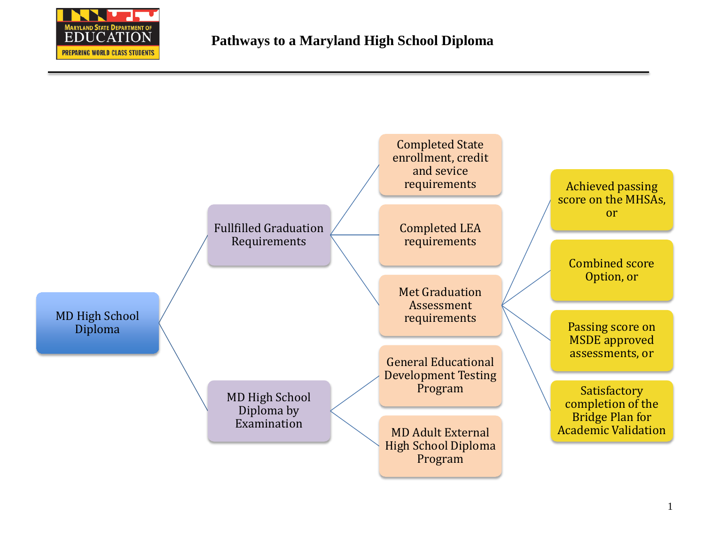

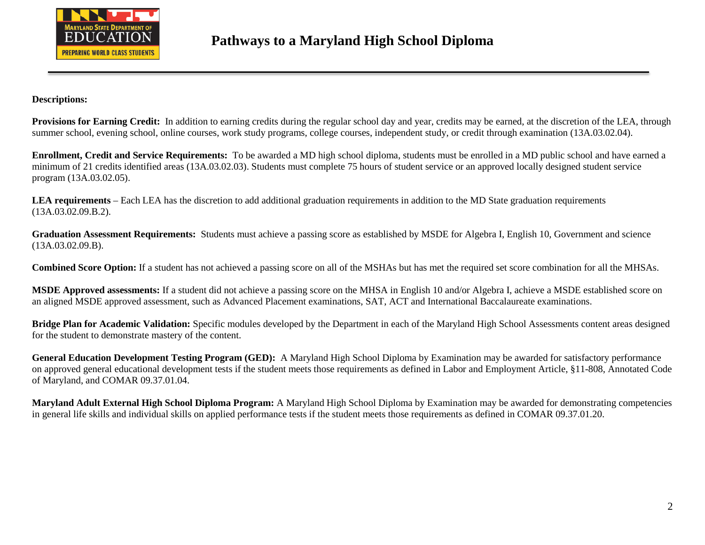

### **Descriptions:**

Provisions for Earning Credit: In addition to earning credits during the regular school day and year, credits may be earned, at the discretion of the LEA, through summer school, evening school, online courses, work study programs, college courses, independent study, or credit through examination (13A.03.02.04).

**Enrollment, Credit and Service Requirements:** To be awarded a MD high school diploma, students must be enrolled in a MD public school and have earned a minimum of 21 credits identified areas (13A.03.02.03). Students must complete 75 hours of student service or an approved locally designed student service program (13A.03.02.05).

**LEA requirements** – Each LEA has the discretion to add additional graduation requirements in addition to the MD State graduation requirements (13A.03.02.09.B.2).

**Graduation Assessment Requirements:** Students must achieve a passing score as established by MSDE for Algebra I, English 10, Government and science (13A.03.02.09.B).

**Combined Score Option:** If a student has not achieved a passing score on all of the MSHAs but has met the required set score combination for all the MHSAs.

**MSDE Approved assessments:** If a student did not achieve a passing score on the MHSA in English 10 and/or Algebra I, achieve a MSDE established score on an aligned MSDE approved assessment, such as Advanced Placement examinations, SAT, ACT and International Baccalaureate examinations.

**Bridge Plan for Academic Validation:** Specific modules developed by the Department in each of the Maryland High School Assessments content areas designed for the student to demonstrate mastery of the content.

**General Education Development Testing Program (GED):** A Maryland High School Diploma by Examination may be awarded for satisfactory performance on approved general educational development tests if the student meets those requirements as defined in Labor and Employment Article, §11-808, Annotated Code of Maryland, and COMAR 09.37.01.04.

**Maryland Adult External High School Diploma Program:** A Maryland High School Diploma by Examination may be awarded for demonstrating competencies in general life skills and individual skills on applied performance tests if the student meets those requirements as defined in COMAR 09.37.01.20.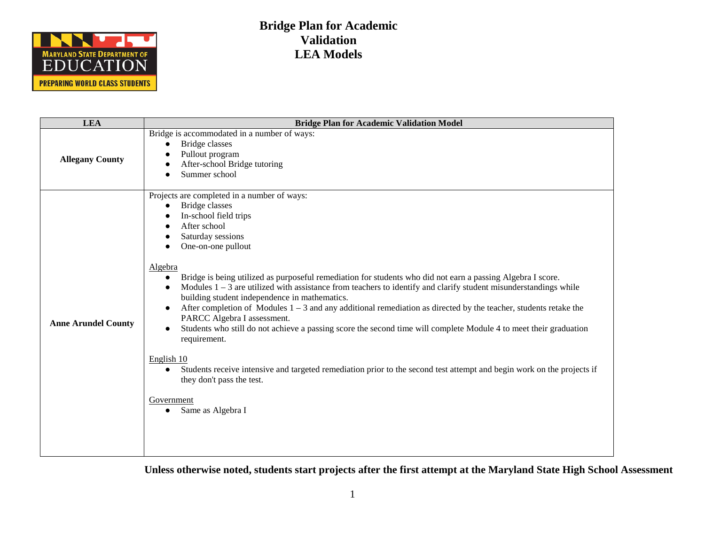

| <b>LEA</b>                 | <b>Bridge Plan for Academic Validation Model</b>                                                                                                                                                                                                                                                                                                                                                                                                                                                                                                                                                                                                                                                                                                                                                                                                                                                                                                                                                                     |
|----------------------------|----------------------------------------------------------------------------------------------------------------------------------------------------------------------------------------------------------------------------------------------------------------------------------------------------------------------------------------------------------------------------------------------------------------------------------------------------------------------------------------------------------------------------------------------------------------------------------------------------------------------------------------------------------------------------------------------------------------------------------------------------------------------------------------------------------------------------------------------------------------------------------------------------------------------------------------------------------------------------------------------------------------------|
| <b>Allegany County</b>     | Bridge is accommodated in a number of ways:<br>Bridge classes<br>$\bullet$<br>Pullout program<br>After-school Bridge tutoring<br>Summer school                                                                                                                                                                                                                                                                                                                                                                                                                                                                                                                                                                                                                                                                                                                                                                                                                                                                       |
| <b>Anne Arundel County</b> | Projects are completed in a number of ways:<br><b>Bridge</b> classes<br>In-school field trips<br>After school<br>Saturday sessions<br>One-on-one pullout<br>Algebra<br>Bridge is being utilized as purposeful remediation for students who did not earn a passing Algebra I score.<br>$\bullet$<br>Modules $1 - 3$ are utilized with assistance from teachers to identify and clarify student misunderstandings while<br>building student independence in mathematics.<br>After completion of Modules $1 - 3$ and any additional remediation as directed by the teacher, students retake the<br>$\bullet$<br>PARCC Algebra I assessment.<br>Students who still do not achieve a passing score the second time will complete Module 4 to meet their graduation<br>$\bullet$<br>requirement.<br>English 10<br>Students receive intensive and targeted remediation prior to the second test attempt and begin work on the projects if<br>$\bullet$<br>they don't pass the test.<br>Government<br>Same as Algebra I<br>٠ |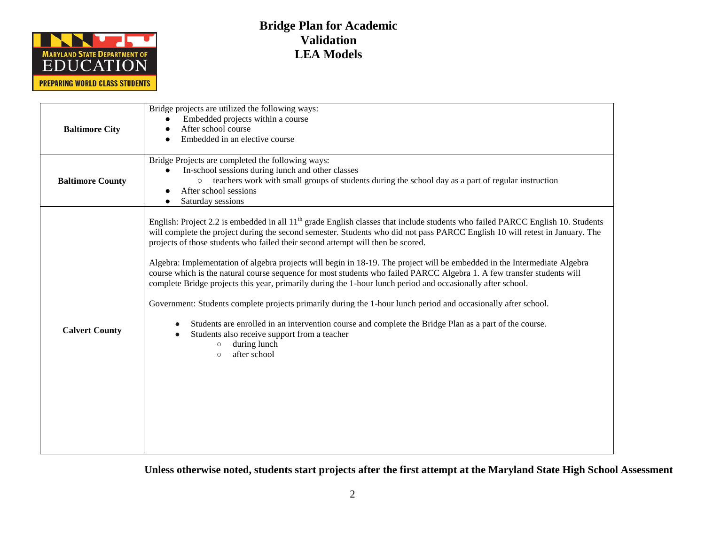

| <b>Baltimore City</b>   | Bridge projects are utilized the following ways:<br>Embedded projects within a course<br>$\bullet$<br>After school course<br>Embedded in an elective course                                                                                                                                                                                                                                                                                                                                                                                                                                                                                                                                                                                                                                                                                                                                                                                                                                                                                                          |
|-------------------------|----------------------------------------------------------------------------------------------------------------------------------------------------------------------------------------------------------------------------------------------------------------------------------------------------------------------------------------------------------------------------------------------------------------------------------------------------------------------------------------------------------------------------------------------------------------------------------------------------------------------------------------------------------------------------------------------------------------------------------------------------------------------------------------------------------------------------------------------------------------------------------------------------------------------------------------------------------------------------------------------------------------------------------------------------------------------|
| <b>Baltimore County</b> | Bridge Projects are completed the following ways:<br>In-school sessions during lunch and other classes<br>teachers work with small groups of students during the school day as a part of regular instruction<br>After school sessions<br>Saturday sessions                                                                                                                                                                                                                                                                                                                                                                                                                                                                                                                                                                                                                                                                                                                                                                                                           |
| <b>Calvert County</b>   | English: Project 2.2 is embedded in all 11 <sup>th</sup> grade English classes that include students who failed PARCC English 10. Students<br>will complete the project during the second semester. Students who did not pass PARCC English 10 will retest in January. The<br>projects of those students who failed their second attempt will then be scored.<br>Algebra: Implementation of algebra projects will begin in 18-19. The project will be embedded in the Intermediate Algebra<br>course which is the natural course sequence for most students who failed PARCC Algebra 1. A few transfer students will<br>complete Bridge projects this year, primarily during the 1-hour lunch period and occasionally after school.<br>Government: Students complete projects primarily during the 1-hour lunch period and occasionally after school.<br>Students are enrolled in an intervention course and complete the Bridge Plan as a part of the course.<br>Students also receive support from a teacher<br>during lunch<br>$\circ$<br>after school<br>$\circ$ |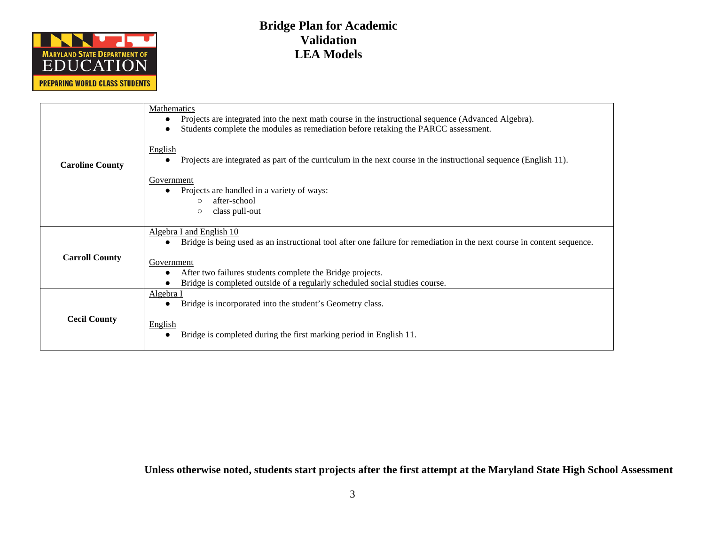

| <b>Caroline County</b> | Mathematics<br>Projects are integrated into the next math course in the instructional sequence (Advanced Algebra).<br>Students complete the modules as remediation before retaking the PARCC assessment.                                                                                                                   |
|------------------------|----------------------------------------------------------------------------------------------------------------------------------------------------------------------------------------------------------------------------------------------------------------------------------------------------------------------------|
|                        | <b>English</b><br>Projects are integrated as part of the curriculum in the next course in the instructional sequence (English 11).                                                                                                                                                                                         |
|                        | Government<br>Projects are handled in a variety of ways:<br>after-school<br>$\bigcirc$<br>class pull-out<br>$\circ$                                                                                                                                                                                                        |
| <b>Carroll County</b>  | Algebra I and English 10<br>Bridge is being used as an instructional tool after one failure for remediation in the next course in content sequence.<br>$\bullet$<br>Government<br>After two failures students complete the Bridge projects.<br>Bridge is completed outside of a regularly scheduled social studies course. |
| <b>Cecil County</b>    | Algebra I<br>Bridge is incorporated into the student's Geometry class.<br>English<br>Bridge is completed during the first marking period in English 11.                                                                                                                                                                    |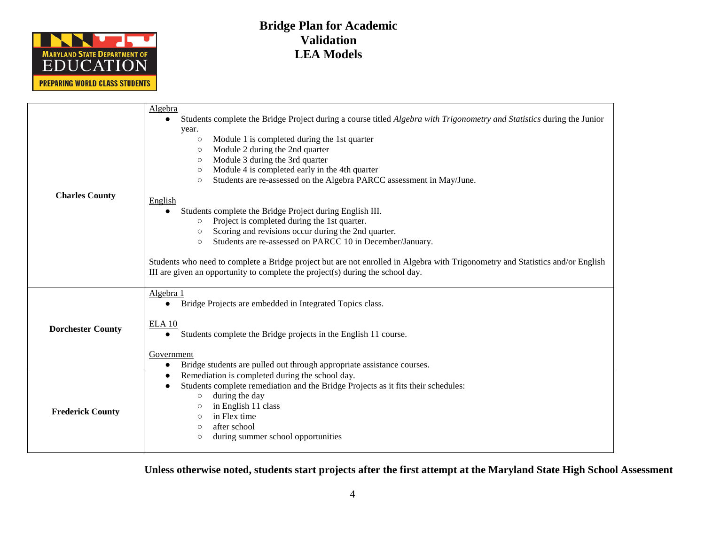

|                          | Algebra                                                                                                                                                                                                                                                                                                                                                                                                                                                                                                                                                                                                                                                                                                                    |  |
|--------------------------|----------------------------------------------------------------------------------------------------------------------------------------------------------------------------------------------------------------------------------------------------------------------------------------------------------------------------------------------------------------------------------------------------------------------------------------------------------------------------------------------------------------------------------------------------------------------------------------------------------------------------------------------------------------------------------------------------------------------------|--|
| <b>Charles County</b>    | Students complete the Bridge Project during a course titled <i>Algebra with Trigonometry and Statistics</i> during the Junior<br>year.<br>Module 1 is completed during the 1st quarter<br>$\circ$<br>Module 2 during the 2nd quarter<br>$\circ$<br>Module 3 during the 3rd quarter<br>$\circ$<br>Module 4 is completed early in the 4th quarter<br>$\circ$<br>Students are re-assessed on the Algebra PARCC assessment in May/June.<br>$\circ$<br>English<br>Students complete the Bridge Project during English III.<br>Project is completed during the 1st quarter.<br>$\circ$<br>Scoring and revisions occur during the 2nd quarter.<br>$\circ$<br>Students are re-assessed on PARCC 10 in December/January.<br>$\circ$ |  |
|                          | Students who need to complete a Bridge project but are not enrolled in Algebra with Trigonometry and Statistics and/or English<br>III are given an opportunity to complete the project(s) during the school day.                                                                                                                                                                                                                                                                                                                                                                                                                                                                                                           |  |
| <b>Dorchester County</b> | Algebra 1<br>Bridge Projects are embedded in Integrated Topics class.<br>$\bullet$<br>ELA <sub>10</sub><br>Students complete the Bridge projects in the English 11 course.<br>$\bullet$<br>Government<br>Bridge students are pulled out through appropriate assistance courses.<br>$\bullet$                                                                                                                                                                                                                                                                                                                                                                                                                               |  |
| <b>Frederick County</b>  | Remediation is completed during the school day.<br>$\bullet$<br>Students complete remediation and the Bridge Projects as it fits their schedules:<br>during the day<br>$\circ$<br>in English 11 class<br>$\circ$<br>in Flex time<br>$\bigcirc$<br>after school<br>$\circ$<br>during summer school opportunities<br>$\circ$                                                                                                                                                                                                                                                                                                                                                                                                 |  |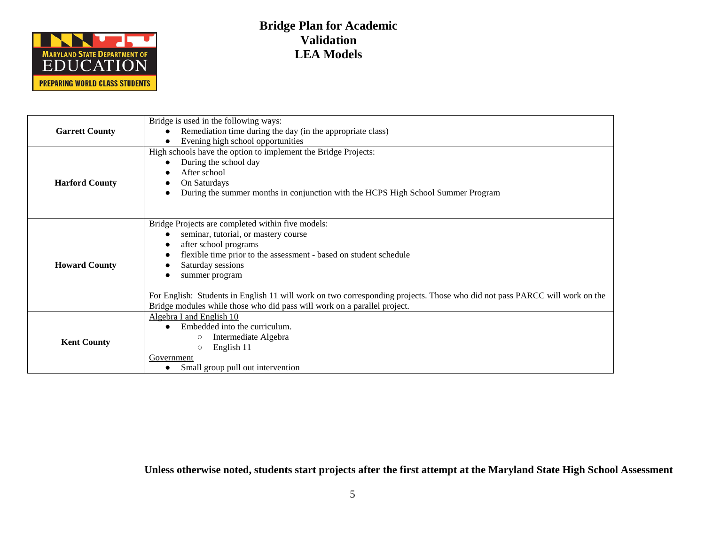

|                       | Bridge is used in the following ways:                                                                                      |
|-----------------------|----------------------------------------------------------------------------------------------------------------------------|
| <b>Garrett County</b> | Remediation time during the day (in the appropriate class)                                                                 |
|                       | Evening high school opportunities                                                                                          |
|                       | High schools have the option to implement the Bridge Projects:                                                             |
|                       | During the school day                                                                                                      |
|                       | After school                                                                                                               |
| <b>Harford County</b> | On Saturdays                                                                                                               |
|                       | During the summer months in conjunction with the HCPS High School Summer Program                                           |
|                       |                                                                                                                            |
|                       |                                                                                                                            |
|                       | Bridge Projects are completed within five models:<br>seminar, tutorial, or mastery course                                  |
|                       | after school programs                                                                                                      |
|                       | flexible time prior to the assessment - based on student schedule                                                          |
| <b>Howard County</b>  | Saturday sessions                                                                                                          |
|                       | summer program                                                                                                             |
|                       |                                                                                                                            |
|                       | For English: Students in English 11 will work on two corresponding projects. Those who did not pass PARCC will work on the |
|                       | Bridge modules while those who did pass will work on a parallel project.                                                   |
|                       | Algebra I and English 10                                                                                                   |
|                       | Embedded into the curriculum.                                                                                              |
| <b>Kent County</b>    | Intermediate Algebra<br>$\circ$                                                                                            |
|                       | English 11<br>$\circ$                                                                                                      |
|                       | Government                                                                                                                 |
|                       | Small group pull out intervention                                                                                          |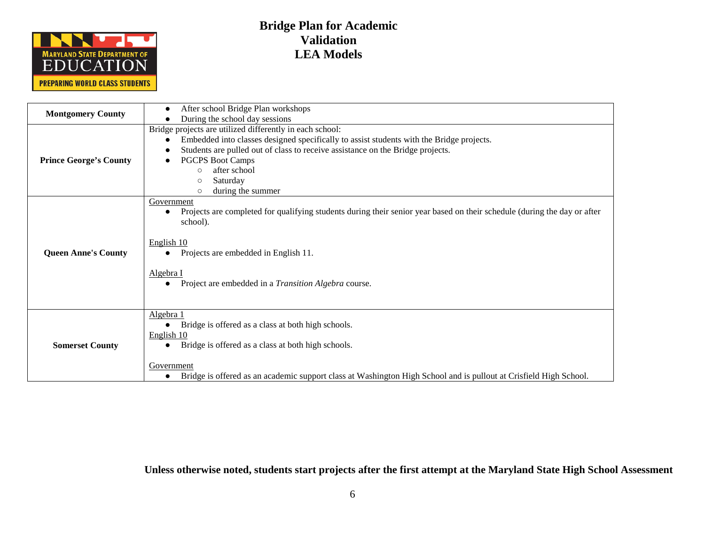

| <b>Montgomery County</b>      | After school Bridge Plan workshops                                                                                                    |
|-------------------------------|---------------------------------------------------------------------------------------------------------------------------------------|
|                               | During the school day sessions                                                                                                        |
|                               | Bridge projects are utilized differently in each school:                                                                              |
|                               | Embedded into classes designed specifically to assist students with the Bridge projects.                                              |
|                               | Students are pulled out of class to receive assistance on the Bridge projects.                                                        |
| <b>Prince George's County</b> | <b>PGCPS Boot Camps</b>                                                                                                               |
|                               | after school                                                                                                                          |
|                               | $\bigcirc$                                                                                                                            |
|                               | Saturday<br>$\circ$                                                                                                                   |
|                               | during the summer<br>$\circ$                                                                                                          |
|                               | Government                                                                                                                            |
|                               | Projects are completed for qualifying students during their senior year based on their schedule (during the day or after<br>$\bullet$ |
|                               | school).                                                                                                                              |
|                               |                                                                                                                                       |
|                               | English 10                                                                                                                            |
|                               |                                                                                                                                       |
| <b>Queen Anne's County</b>    | Projects are embedded in English 11.                                                                                                  |
|                               |                                                                                                                                       |
|                               | Algebra I                                                                                                                             |
|                               | Project are embedded in a Transition Algebra course.                                                                                  |
|                               |                                                                                                                                       |
|                               |                                                                                                                                       |
|                               | Algebra 1                                                                                                                             |
|                               | Bridge is offered as a class at both high schools.                                                                                    |
| <b>Somerset County</b>        | English 10                                                                                                                            |
|                               |                                                                                                                                       |
|                               | Bridge is offered as a class at both high schools.                                                                                    |
|                               |                                                                                                                                       |
|                               | Government                                                                                                                            |
|                               | Bridge is offered as an academic support class at Washington High School and is pullout at Crisfield High School.                     |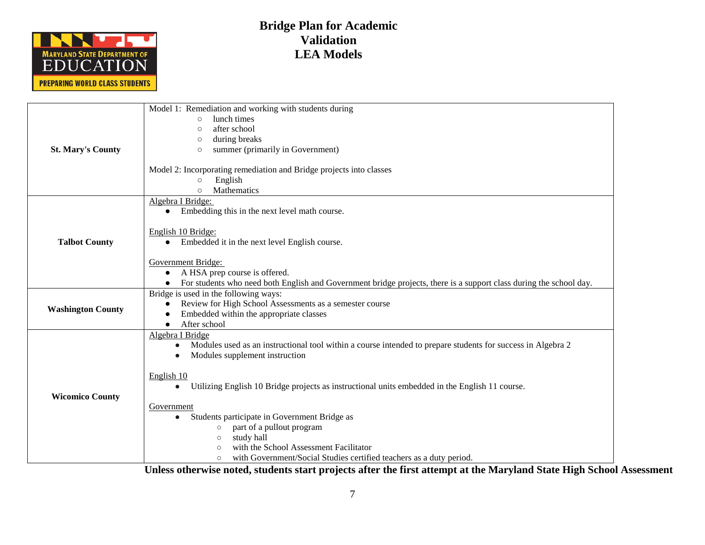

|                          | Model 1: Remediation and working with students during                                                                    |
|--------------------------|--------------------------------------------------------------------------------------------------------------------------|
|                          | lunch times<br>$\circ$                                                                                                   |
|                          | after school<br>$\bigcirc$                                                                                               |
|                          | during breaks<br>$\circ$                                                                                                 |
| <b>St. Mary's County</b> | summer (primarily in Government)<br>$\circ$                                                                              |
|                          |                                                                                                                          |
|                          | Model 2: Incorporating remediation and Bridge projects into classes                                                      |
|                          | English<br>$\circ$                                                                                                       |
|                          | Mathematics<br>$\circ$                                                                                                   |
|                          | Algebra I Bridge:                                                                                                        |
|                          | Embedding this in the next level math course.<br>$\bullet$                                                               |
|                          | English 10 Bridge:                                                                                                       |
| <b>Talbot County</b>     | Embedded it in the next level English course.<br>$\bullet$                                                               |
|                          |                                                                                                                          |
|                          | Government Bridge:                                                                                                       |
|                          | A HSA prep course is offered.<br>$\bullet$                                                                               |
|                          | For students who need both English and Government bridge projects, there is a support class during the school day.       |
|                          | Bridge is used in the following ways:                                                                                    |
|                          | Review for High School Assessments as a semester course<br>$\bullet$                                                     |
| <b>Washington County</b> | Embedded within the appropriate classes                                                                                  |
|                          | After school                                                                                                             |
|                          | Algebra I Bridge                                                                                                         |
|                          | Modules used as an instructional tool within a course intended to prepare students for success in Algebra 2<br>$\bullet$ |
|                          | Modules supplement instruction                                                                                           |
|                          |                                                                                                                          |
|                          | English 10                                                                                                               |
|                          | Utilizing English 10 Bridge projects as instructional units embedded in the English 11 course.<br>$\bullet$              |
| <b>Wicomico County</b>   |                                                                                                                          |
|                          | Government                                                                                                               |
|                          | Students participate in Government Bridge as<br>$\bullet$                                                                |
|                          | part of a pullout program<br>$\circ$                                                                                     |
|                          | study hall<br>$\circ$                                                                                                    |
|                          | with the School Assessment Facilitator<br>$\circ$                                                                        |
|                          | with Government/Social Studies certified teachers as a duty period.<br>$\circ$                                           |
|                          |                                                                                                                          |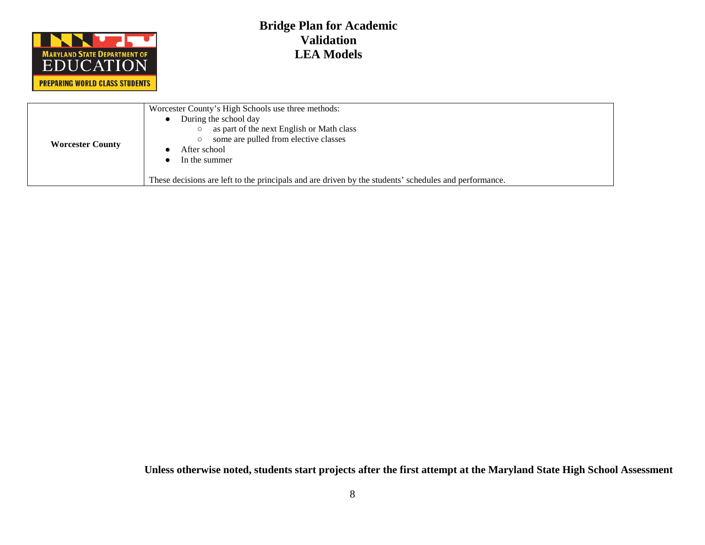

| <b>Worcester County</b> | Worcester County's High Schools use three methods:<br>During the school day<br>as part of the next English or Math class<br>some are pulled from elective classes<br>After school<br>In the summer<br>These decisions are left to the principals and are driven by the students' schedules and performance. |
|-------------------------|-------------------------------------------------------------------------------------------------------------------------------------------------------------------------------------------------------------------------------------------------------------------------------------------------------------|
|-------------------------|-------------------------------------------------------------------------------------------------------------------------------------------------------------------------------------------------------------------------------------------------------------------------------------------------------------|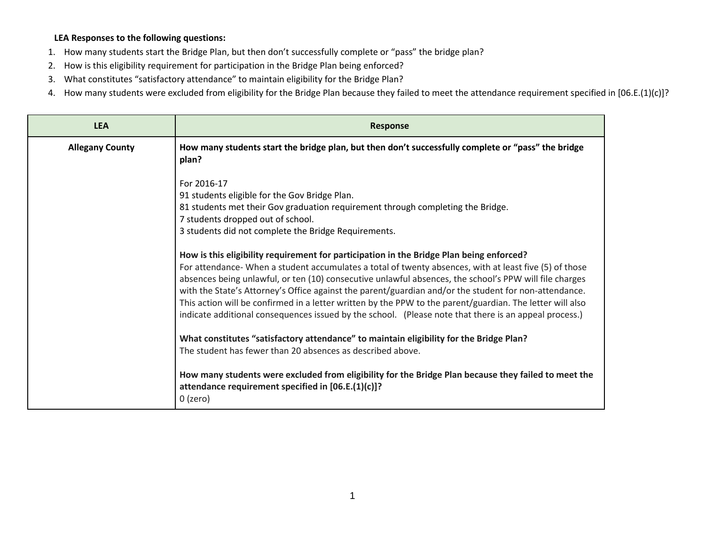### **LEA Responses to the following questions:**

- 1. How many students start the Bridge Plan, but then don't successfully complete or "pass" the bridge plan?
- 2. How is this eligibility requirement for participation in the Bridge Plan being enforced?
- 3. What constitutes "satisfactory attendance" to maintain eligibility for the Bridge Plan?
- 4. How many students were excluded from eligibility for the Bridge Plan because they failed to meet the attendance requirement specified in [06.E.(1)(c)]?

| <b>LEA</b>             | <b>Response</b>                                                                                                                                                                                                                                                                                                                                                                                                                                                                                                                                 |
|------------------------|-------------------------------------------------------------------------------------------------------------------------------------------------------------------------------------------------------------------------------------------------------------------------------------------------------------------------------------------------------------------------------------------------------------------------------------------------------------------------------------------------------------------------------------------------|
| <b>Allegany County</b> | How many students start the bridge plan, but then don't successfully complete or "pass" the bridge<br>plan?                                                                                                                                                                                                                                                                                                                                                                                                                                     |
|                        | For 2016-17<br>91 students eligible for the Gov Bridge Plan.<br>81 students met their Gov graduation requirement through completing the Bridge.<br>7 students dropped out of school.<br>3 students did not complete the Bridge Requirements.<br>How is this eligibility requirement for participation in the Bridge Plan being enforced?                                                                                                                                                                                                        |
|                        | For attendance- When a student accumulates a total of twenty absences, with at least five (5) of those<br>absences being unlawful, or ten (10) consecutive unlawful absences, the school's PPW will file charges<br>with the State's Attorney's Office against the parent/guardian and/or the student for non-attendance.<br>This action will be confirmed in a letter written by the PPW to the parent/guardian. The letter will also<br>indicate additional consequences issued by the school. (Please note that there is an appeal process.) |
|                        | What constitutes "satisfactory attendance" to maintain eligibility for the Bridge Plan?<br>The student has fewer than 20 absences as described above.                                                                                                                                                                                                                                                                                                                                                                                           |
|                        | How many students were excluded from eligibility for the Bridge Plan because they failed to meet the<br>attendance requirement specified in [06.E.(1)(c)]?<br>$0$ (zero)                                                                                                                                                                                                                                                                                                                                                                        |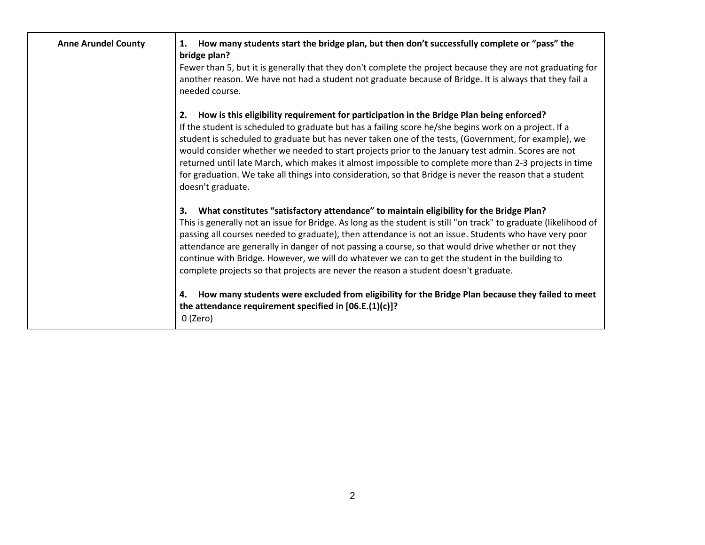| <b>Anne Arundel County</b> | How many students start the bridge plan, but then don't successfully complete or "pass" the<br>1.<br>bridge plan?<br>Fewer than 5, but it is generally that they don't complete the project because they are not graduating for<br>another reason. We have not had a student not graduate because of Bridge. It is always that they fail a<br>needed course.                                                                                                                                                                                                                                                                                                     |
|----------------------------|------------------------------------------------------------------------------------------------------------------------------------------------------------------------------------------------------------------------------------------------------------------------------------------------------------------------------------------------------------------------------------------------------------------------------------------------------------------------------------------------------------------------------------------------------------------------------------------------------------------------------------------------------------------|
|                            | How is this eligibility requirement for participation in the Bridge Plan being enforced?<br>2.<br>If the student is scheduled to graduate but has a failing score he/she begins work on a project. If a<br>student is scheduled to graduate but has never taken one of the tests, (Government, for example), we<br>would consider whether we needed to start projects prior to the January test admin. Scores are not<br>returned until late March, which makes it almost impossible to complete more than 2-3 projects in time<br>for graduation. We take all things into consideration, so that Bridge is never the reason that a student<br>doesn't graduate. |
|                            | What constitutes "satisfactory attendance" to maintain eligibility for the Bridge Plan?<br>3.<br>This is generally not an issue for Bridge. As long as the student is still "on track" to graduate (likelihood of<br>passing all courses needed to graduate), then attendance is not an issue. Students who have very poor<br>attendance are generally in danger of not passing a course, so that would drive whether or not they<br>continue with Bridge. However, we will do whatever we can to get the student in the building to<br>complete projects so that projects are never the reason a student doesn't graduate.                                      |
|                            | How many students were excluded from eligibility for the Bridge Plan because they failed to meet<br>4.<br>the attendance requirement specified in $[06.E.(1)(c)]$ ?<br>0 (Zero)                                                                                                                                                                                                                                                                                                                                                                                                                                                                                  |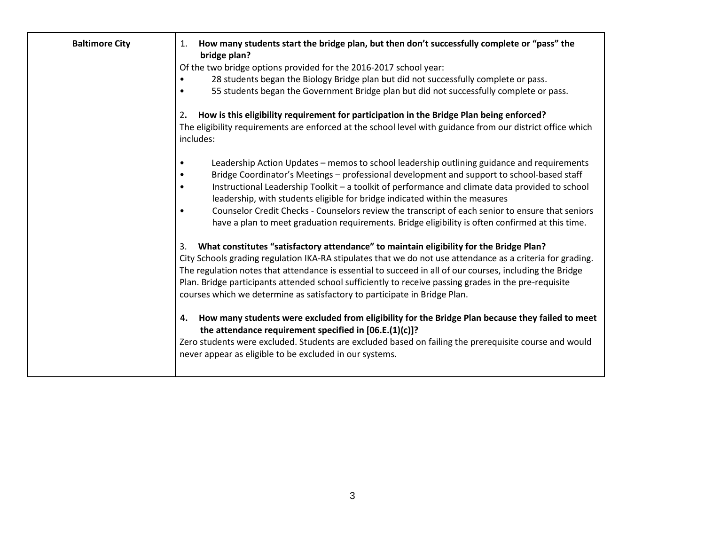| <b>Baltimore City</b> | How many students start the bridge plan, but then don't successfully complete or "pass" the<br>1.<br>bridge plan?<br>Of the two bridge options provided for the 2016-2017 school year:<br>28 students began the Biology Bridge plan but did not successfully complete or pass.<br>٠<br>55 students began the Government Bridge plan but did not successfully complete or pass.<br>$\bullet$                                                                                                                                                                                                                                    |
|-----------------------|--------------------------------------------------------------------------------------------------------------------------------------------------------------------------------------------------------------------------------------------------------------------------------------------------------------------------------------------------------------------------------------------------------------------------------------------------------------------------------------------------------------------------------------------------------------------------------------------------------------------------------|
|                       | How is this eligibility requirement for participation in the Bridge Plan being enforced?<br>2.<br>The eligibility requirements are enforced at the school level with guidance from our district office which<br>includes:                                                                                                                                                                                                                                                                                                                                                                                                      |
|                       | Leadership Action Updates - memos to school leadership outlining guidance and requirements<br>٠<br>Bridge Coordinator's Meetings - professional development and support to school-based staff<br>$\bullet$<br>Instructional Leadership Toolkit - a toolkit of performance and climate data provided to school<br>$\bullet$<br>leadership, with students eligible for bridge indicated within the measures<br>Counselor Credit Checks - Counselors review the transcript of each senior to ensure that seniors<br>$\bullet$<br>have a plan to meet graduation requirements. Bridge eligibility is often confirmed at this time. |
|                       | What constitutes "satisfactory attendance" to maintain eligibility for the Bridge Plan?<br>3.<br>City Schools grading regulation IKA-RA stipulates that we do not use attendance as a criteria for grading.<br>The regulation notes that attendance is essential to succeed in all of our courses, including the Bridge<br>Plan. Bridge participants attended school sufficiently to receive passing grades in the pre-requisite<br>courses which we determine as satisfactory to participate in Bridge Plan.                                                                                                                  |
|                       | How many students were excluded from eligibility for the Bridge Plan because they failed to meet<br>4.<br>the attendance requirement specified in $[06.E.(1)(c)]$ ?<br>Zero students were excluded. Students are excluded based on failing the prerequisite course and would<br>never appear as eligible to be excluded in our systems.                                                                                                                                                                                                                                                                                        |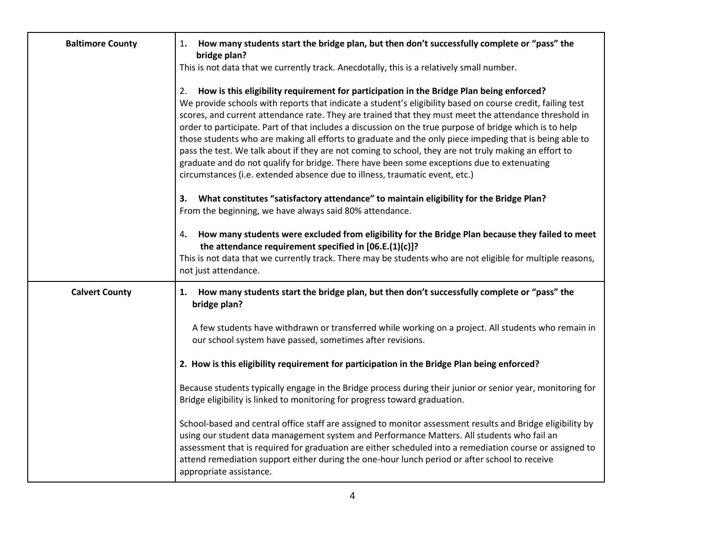| <b>Baltimore County</b> | How many students start the bridge plan, but then don't successfully complete or "pass" the<br>1.<br>bridge plan?                                                                                                                                                                                                                                                                                                                                                                                                                                                                                                                                                                                                                                                                                                                 |
|-------------------------|-----------------------------------------------------------------------------------------------------------------------------------------------------------------------------------------------------------------------------------------------------------------------------------------------------------------------------------------------------------------------------------------------------------------------------------------------------------------------------------------------------------------------------------------------------------------------------------------------------------------------------------------------------------------------------------------------------------------------------------------------------------------------------------------------------------------------------------|
|                         | This is not data that we currently track. Anecdotally, this is a relatively small number.                                                                                                                                                                                                                                                                                                                                                                                                                                                                                                                                                                                                                                                                                                                                         |
|                         | How is this eligibility requirement for participation in the Bridge Plan being enforced?<br>2.<br>We provide schools with reports that indicate a student's eligibility based on course credit, failing test<br>scores, and current attendance rate. They are trained that they must meet the attendance threshold in<br>order to participate. Part of that includes a discussion on the true purpose of bridge which is to help<br>those students who are making all efforts to graduate and the only piece impeding that is being able to<br>pass the test. We talk about if they are not coming to school, they are not truly making an effort to<br>graduate and do not qualify for bridge. There have been some exceptions due to extenuating<br>circumstances (i.e. extended absence due to illness, traumatic event, etc.) |
|                         | What constitutes "satisfactory attendance" to maintain eligibility for the Bridge Plan?<br>3.<br>From the beginning, we have always said 80% attendance.                                                                                                                                                                                                                                                                                                                                                                                                                                                                                                                                                                                                                                                                          |
|                         | How many students were excluded from eligibility for the Bridge Plan because they failed to meet<br>4.<br>the attendance requirement specified in [06.E.(1)(c)]?<br>This is not data that we currently track. There may be students who are not eligible for multiple reasons,<br>not just attendance.                                                                                                                                                                                                                                                                                                                                                                                                                                                                                                                            |
| <b>Calvert County</b>   | How many students start the bridge plan, but then don't successfully complete or "pass" the<br>1.<br>bridge plan?                                                                                                                                                                                                                                                                                                                                                                                                                                                                                                                                                                                                                                                                                                                 |
|                         | A few students have withdrawn or transferred while working on a project. All students who remain in<br>our school system have passed, sometimes after revisions.                                                                                                                                                                                                                                                                                                                                                                                                                                                                                                                                                                                                                                                                  |
|                         | 2. How is this eligibility requirement for participation in the Bridge Plan being enforced?                                                                                                                                                                                                                                                                                                                                                                                                                                                                                                                                                                                                                                                                                                                                       |
|                         | Because students typically engage in the Bridge process during their junior or senior year, monitoring for<br>Bridge eligibility is linked to monitoring for progress toward graduation.                                                                                                                                                                                                                                                                                                                                                                                                                                                                                                                                                                                                                                          |
|                         | School-based and central office staff are assigned to monitor assessment results and Bridge eligibility by<br>using our student data management system and Performance Matters. All students who fail an<br>assessment that is required for graduation are either scheduled into a remediation course or assigned to<br>attend remediation support either during the one-hour lunch period or after school to receive<br>appropriate assistance.                                                                                                                                                                                                                                                                                                                                                                                  |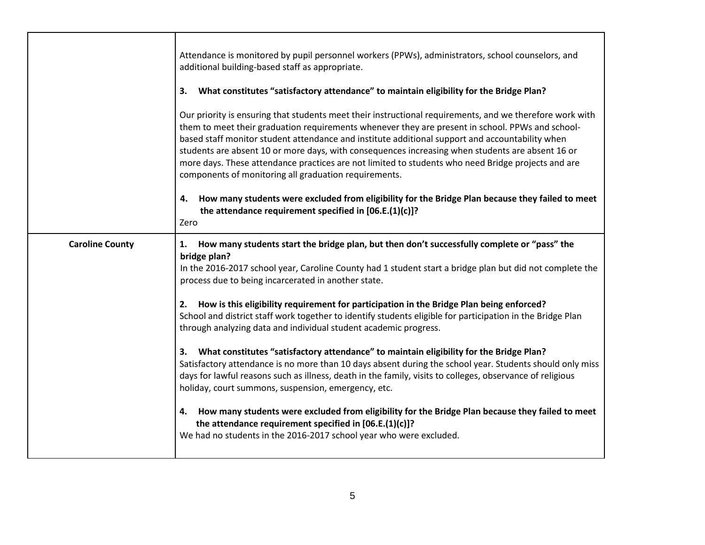|                        | Attendance is monitored by pupil personnel workers (PPWs), administrators, school counselors, and<br>additional building-based staff as appropriate.<br>What constitutes "satisfactory attendance" to maintain eligibility for the Bridge Plan?<br>3.<br>Our priority is ensuring that students meet their instructional requirements, and we therefore work with<br>them to meet their graduation requirements whenever they are present in school. PPWs and school-<br>based staff monitor student attendance and institute additional support and accountability when<br>students are absent 10 or more days, with consequences increasing when students are absent 16 or<br>more days. These attendance practices are not limited to students who need Bridge projects and are<br>components of monitoring all graduation requirements.<br>How many students were excluded from eligibility for the Bridge Plan because they failed to meet<br>4.<br>the attendance requirement specified in [06.E.(1)(c)]?<br>Zero                                                                                                                                                                             |
|------------------------|-----------------------------------------------------------------------------------------------------------------------------------------------------------------------------------------------------------------------------------------------------------------------------------------------------------------------------------------------------------------------------------------------------------------------------------------------------------------------------------------------------------------------------------------------------------------------------------------------------------------------------------------------------------------------------------------------------------------------------------------------------------------------------------------------------------------------------------------------------------------------------------------------------------------------------------------------------------------------------------------------------------------------------------------------------------------------------------------------------------------------------------------------------------------------------------------------------|
| <b>Caroline County</b> | How many students start the bridge plan, but then don't successfully complete or "pass" the<br>1.<br>bridge plan?<br>In the 2016-2017 school year, Caroline County had 1 student start a bridge plan but did not complete the<br>process due to being incarcerated in another state.<br>How is this eligibility requirement for participation in the Bridge Plan being enforced?<br>2.<br>School and district staff work together to identify students eligible for participation in the Bridge Plan<br>through analyzing data and individual student academic progress.<br>What constitutes "satisfactory attendance" to maintain eligibility for the Bridge Plan?<br>3.<br>Satisfactory attendance is no more than 10 days absent during the school year. Students should only miss<br>days for lawful reasons such as illness, death in the family, visits to colleges, observance of religious<br>holiday, court summons, suspension, emergency, etc.<br>How many students were excluded from eligibility for the Bridge Plan because they failed to meet<br>4.<br>the attendance requirement specified in [06.E.(1)(c)]?<br>We had no students in the 2016-2017 school year who were excluded. |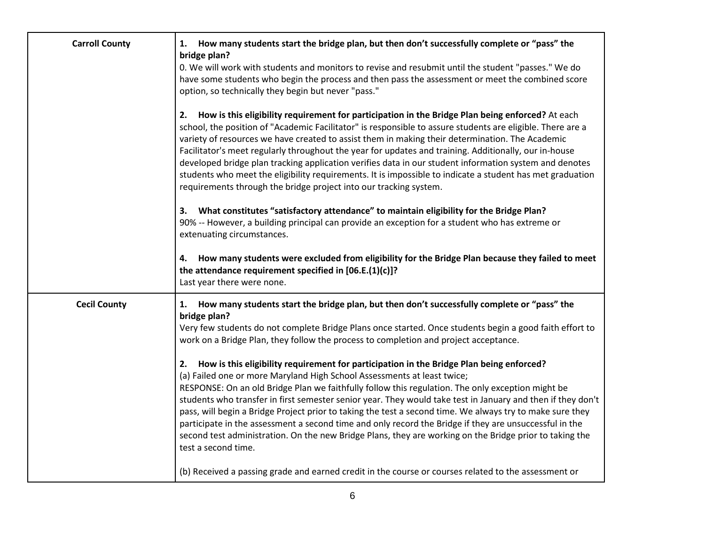| <b>Carroll County</b> | 1. How many students start the bridge plan, but then don't successfully complete or "pass" the<br>bridge plan?<br>0. We will work with students and monitors to revise and resubmit until the student "passes." We do<br>have some students who begin the process and then pass the assessment or meet the combined score<br>option, so technically they begin but never "pass."                                                                                                                                                                                                                                                                                                                                                                                                                                                                                                                                                                                                                                                                                            |
|-----------------------|-----------------------------------------------------------------------------------------------------------------------------------------------------------------------------------------------------------------------------------------------------------------------------------------------------------------------------------------------------------------------------------------------------------------------------------------------------------------------------------------------------------------------------------------------------------------------------------------------------------------------------------------------------------------------------------------------------------------------------------------------------------------------------------------------------------------------------------------------------------------------------------------------------------------------------------------------------------------------------------------------------------------------------------------------------------------------------|
|                       | 2. How is this eligibility requirement for participation in the Bridge Plan being enforced? At each<br>school, the position of "Academic Facilitator" is responsible to assure students are eligible. There are a<br>variety of resources we have created to assist them in making their determination. The Academic<br>Facilitator's meet regularly throughout the year for updates and training. Additionally, our in-house<br>developed bridge plan tracking application verifies data in our student information system and denotes<br>students who meet the eligibility requirements. It is impossible to indicate a student has met graduation<br>requirements through the bridge project into our tracking system.                                                                                                                                                                                                                                                                                                                                                   |
|                       | 3. What constitutes "satisfactory attendance" to maintain eligibility for the Bridge Plan?<br>90% -- However, a building principal can provide an exception for a student who has extreme or<br>extenuating circumstances.                                                                                                                                                                                                                                                                                                                                                                                                                                                                                                                                                                                                                                                                                                                                                                                                                                                  |
|                       | How many students were excluded from eligibility for the Bridge Plan because they failed to meet<br>4.<br>the attendance requirement specified in [06.E.(1)(c)]?<br>Last year there were none.                                                                                                                                                                                                                                                                                                                                                                                                                                                                                                                                                                                                                                                                                                                                                                                                                                                                              |
| <b>Cecil County</b>   | How many students start the bridge plan, but then don't successfully complete or "pass" the<br>1.<br>bridge plan?<br>Very few students do not complete Bridge Plans once started. Once students begin a good faith effort to<br>work on a Bridge Plan, they follow the process to completion and project acceptance.<br>2. How is this eligibility requirement for participation in the Bridge Plan being enforced?<br>(a) Failed one or more Maryland High School Assessments at least twice;<br>RESPONSE: On an old Bridge Plan we faithfully follow this regulation. The only exception might be<br>students who transfer in first semester senior year. They would take test in January and then if they don't<br>pass, will begin a Bridge Project prior to taking the test a second time. We always try to make sure they<br>participate in the assessment a second time and only record the Bridge if they are unsuccessful in the<br>second test administration. On the new Bridge Plans, they are working on the Bridge prior to taking the<br>test a second time. |
|                       | (b) Received a passing grade and earned credit in the course or courses related to the assessment or                                                                                                                                                                                                                                                                                                                                                                                                                                                                                                                                                                                                                                                                                                                                                                                                                                                                                                                                                                        |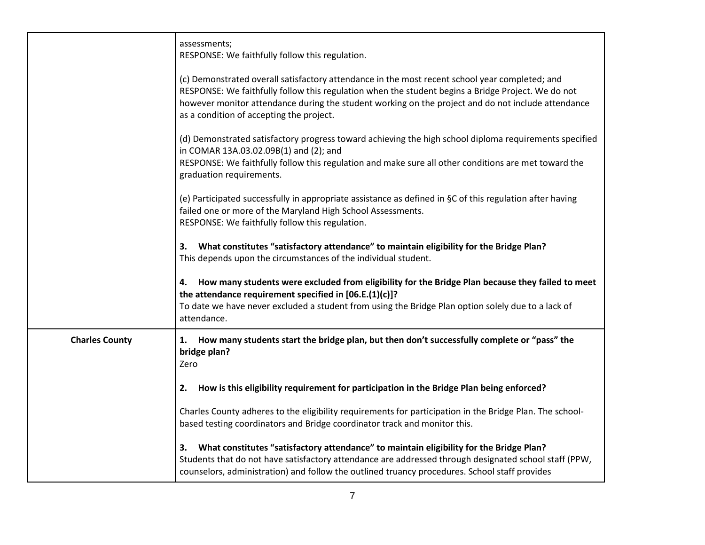|                       | assessments;<br>RESPONSE: We faithfully follow this regulation.                                                                                                                                                                                                                                                                                        |
|-----------------------|--------------------------------------------------------------------------------------------------------------------------------------------------------------------------------------------------------------------------------------------------------------------------------------------------------------------------------------------------------|
|                       | (c) Demonstrated overall satisfactory attendance in the most recent school year completed; and<br>RESPONSE: We faithfully follow this regulation when the student begins a Bridge Project. We do not<br>however monitor attendance during the student working on the project and do not include attendance<br>as a condition of accepting the project. |
|                       | (d) Demonstrated satisfactory progress toward achieving the high school diploma requirements specified<br>in COMAR 13A.03.02.09B(1) and (2); and<br>RESPONSE: We faithfully follow this regulation and make sure all other conditions are met toward the<br>graduation requirements.                                                                   |
|                       | (e) Participated successfully in appropriate assistance as defined in §C of this regulation after having<br>failed one or more of the Maryland High School Assessments.<br>RESPONSE: We faithfully follow this regulation.                                                                                                                             |
|                       | What constitutes "satisfactory attendance" to maintain eligibility for the Bridge Plan?<br>3.<br>This depends upon the circumstances of the individual student.                                                                                                                                                                                        |
|                       | How many students were excluded from eligibility for the Bridge Plan because they failed to meet<br>4.<br>the attendance requirement specified in [06.E.(1)(c)]?<br>To date we have never excluded a student from using the Bridge Plan option solely due to a lack of<br>attendance.                                                                  |
| <b>Charles County</b> | How many students start the bridge plan, but then don't successfully complete or "pass" the<br>1.<br>bridge plan?<br>Zero                                                                                                                                                                                                                              |
|                       | How is this eligibility requirement for participation in the Bridge Plan being enforced?<br>2.                                                                                                                                                                                                                                                         |
|                       | Charles County adheres to the eligibility requirements for participation in the Bridge Plan. The school-<br>based testing coordinators and Bridge coordinator track and monitor this.                                                                                                                                                                  |
|                       | What constitutes "satisfactory attendance" to maintain eligibility for the Bridge Plan?<br>3.<br>Students that do not have satisfactory attendance are addressed through designated school staff (PPW,<br>counselors, administration) and follow the outlined truancy procedures. School staff provides                                                |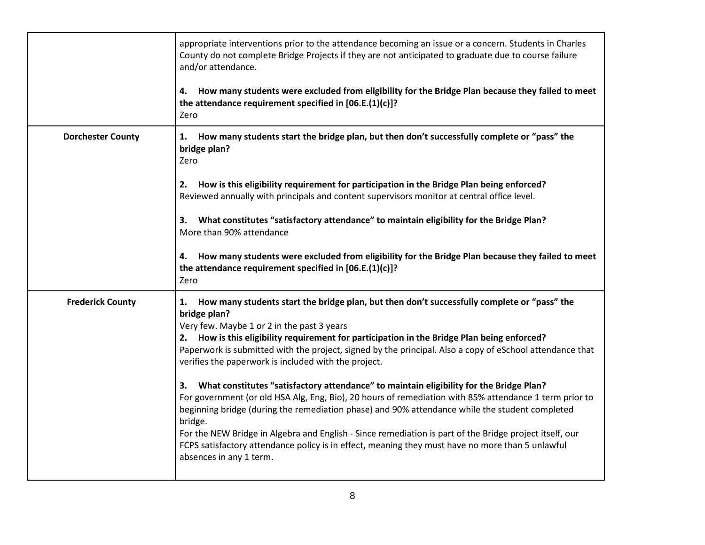|                          | appropriate interventions prior to the attendance becoming an issue or a concern. Students in Charles<br>County do not complete Bridge Projects if they are not anticipated to graduate due to course failure<br>and/or attendance.<br>How many students were excluded from eligibility for the Bridge Plan because they failed to meet<br>4. |
|--------------------------|-----------------------------------------------------------------------------------------------------------------------------------------------------------------------------------------------------------------------------------------------------------------------------------------------------------------------------------------------|
|                          | the attendance requirement specified in [06.E.(1)(c)]?<br>Zero                                                                                                                                                                                                                                                                                |
| <b>Dorchester County</b> | How many students start the bridge plan, but then don't successfully complete or "pass" the<br>1.<br>bridge plan?<br>Zero                                                                                                                                                                                                                     |
|                          | How is this eligibility requirement for participation in the Bridge Plan being enforced?<br>2.<br>Reviewed annually with principals and content supervisors monitor at central office level.                                                                                                                                                  |
|                          | What constitutes "satisfactory attendance" to maintain eligibility for the Bridge Plan?<br>3.<br>More than 90% attendance                                                                                                                                                                                                                     |
|                          | How many students were excluded from eligibility for the Bridge Plan because they failed to meet<br>4.<br>the attendance requirement specified in [06.E.(1)(c)]?<br>Zero                                                                                                                                                                      |
| <b>Frederick County</b>  | How many students start the bridge plan, but then don't successfully complete or "pass" the<br>1.<br>bridge plan?<br>Very few. Maybe 1 or 2 in the past 3 years                                                                                                                                                                               |
|                          | 2. How is this eligibility requirement for participation in the Bridge Plan being enforced?<br>Paperwork is submitted with the project, signed by the principal. Also a copy of eSchool attendance that<br>verifies the paperwork is included with the project.                                                                               |
|                          | What constitutes "satisfactory attendance" to maintain eligibility for the Bridge Plan?<br>3.<br>For government (or old HSA Alg, Eng, Bio), 20 hours of remediation with 85% attendance 1 term prior to<br>beginning bridge (during the remediation phase) and 90% attendance while the student completed<br>bridge.                          |
|                          | For the NEW Bridge in Algebra and English - Since remediation is part of the Bridge project itself, our<br>FCPS satisfactory attendance policy is in effect, meaning they must have no more than 5 unlawful<br>absences in any 1 term.                                                                                                        |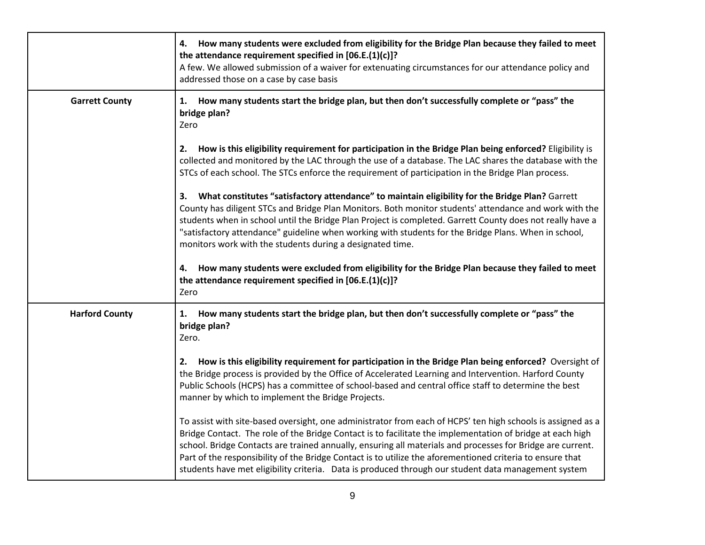|                       | How many students were excluded from eligibility for the Bridge Plan because they failed to meet<br>4.<br>the attendance requirement specified in $[06.E.(1)(c)]$ ?<br>A few. We allowed submission of a waiver for extenuating circumstances for our attendance policy and<br>addressed those on a case by case basis                                                                                                                                                                                                                                     |
|-----------------------|------------------------------------------------------------------------------------------------------------------------------------------------------------------------------------------------------------------------------------------------------------------------------------------------------------------------------------------------------------------------------------------------------------------------------------------------------------------------------------------------------------------------------------------------------------|
| <b>Garrett County</b> | How many students start the bridge plan, but then don't successfully complete or "pass" the<br>1.<br>bridge plan?<br>Zero                                                                                                                                                                                                                                                                                                                                                                                                                                  |
|                       | How is this eligibility requirement for participation in the Bridge Plan being enforced? Eligibility is<br>2.<br>collected and monitored by the LAC through the use of a database. The LAC shares the database with the<br>STCs of each school. The STCs enforce the requirement of participation in the Bridge Plan process.                                                                                                                                                                                                                              |
|                       | What constitutes "satisfactory attendance" to maintain eligibility for the Bridge Plan? Garrett<br>3.<br>County has diligent STCs and Bridge Plan Monitors. Both monitor students' attendance and work with the<br>students when in school until the Bridge Plan Project is completed. Garrett County does not really have a<br>"satisfactory attendance" guideline when working with students for the Bridge Plans. When in school,<br>monitors work with the students during a designated time.                                                          |
|                       | How many students were excluded from eligibility for the Bridge Plan because they failed to meet<br>4.<br>the attendance requirement specified in [06.E.(1)(c)]?<br>Zero                                                                                                                                                                                                                                                                                                                                                                                   |
| <b>Harford County</b> | How many students start the bridge plan, but then don't successfully complete or "pass" the<br>1.<br>bridge plan?<br>Zero.                                                                                                                                                                                                                                                                                                                                                                                                                                 |
|                       | How is this eligibility requirement for participation in the Bridge Plan being enforced? Oversight of<br>2.<br>the Bridge process is provided by the Office of Accelerated Learning and Intervention. Harford County<br>Public Schools (HCPS) has a committee of school-based and central office staff to determine the best<br>manner by which to implement the Bridge Projects.                                                                                                                                                                          |
|                       | To assist with site-based oversight, one administrator from each of HCPS' ten high schools is assigned as a<br>Bridge Contact. The role of the Bridge Contact is to facilitate the implementation of bridge at each high<br>school. Bridge Contacts are trained annually, ensuring all materials and processes for Bridge are current.<br>Part of the responsibility of the Bridge Contact is to utilize the aforementioned criteria to ensure that<br>students have met eligibility criteria. Data is produced through our student data management system |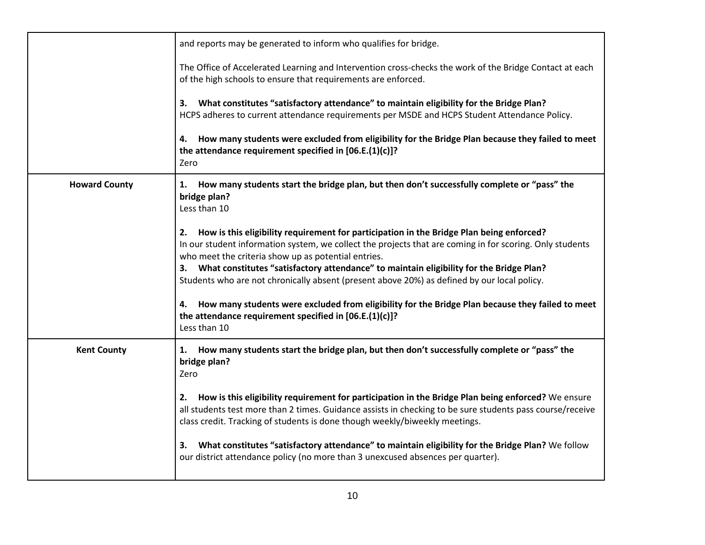|                      | and reports may be generated to inform who qualifies for bridge.                                                                                                                                                                                                                                                                                                                                                                                               |
|----------------------|----------------------------------------------------------------------------------------------------------------------------------------------------------------------------------------------------------------------------------------------------------------------------------------------------------------------------------------------------------------------------------------------------------------------------------------------------------------|
|                      | The Office of Accelerated Learning and Intervention cross-checks the work of the Bridge Contact at each<br>of the high schools to ensure that requirements are enforced.                                                                                                                                                                                                                                                                                       |
|                      | What constitutes "satisfactory attendance" to maintain eligibility for the Bridge Plan?<br>3.<br>HCPS adheres to current attendance requirements per MSDE and HCPS Student Attendance Policy.                                                                                                                                                                                                                                                                  |
|                      | How many students were excluded from eligibility for the Bridge Plan because they failed to meet<br>4.<br>the attendance requirement specified in [06.E.(1)(c)]?<br>Zero                                                                                                                                                                                                                                                                                       |
| <b>Howard County</b> | How many students start the bridge plan, but then don't successfully complete or "pass" the<br>1.<br>bridge plan?<br>Less than 10                                                                                                                                                                                                                                                                                                                              |
|                      | How is this eligibility requirement for participation in the Bridge Plan being enforced?<br>2.<br>In our student information system, we collect the projects that are coming in for scoring. Only students<br>who meet the criteria show up as potential entries.<br>3. What constitutes "satisfactory attendance" to maintain eligibility for the Bridge Plan?<br>Students who are not chronically absent (present above 20%) as defined by our local policy. |
|                      | How many students were excluded from eligibility for the Bridge Plan because they failed to meet<br>4.<br>the attendance requirement specified in [06.E.(1)(c)]?<br>Less than 10                                                                                                                                                                                                                                                                               |
| <b>Kent County</b>   | How many students start the bridge plan, but then don't successfully complete or "pass" the<br>1.<br>bridge plan?<br>Zero                                                                                                                                                                                                                                                                                                                                      |
|                      | How is this eligibility requirement for participation in the Bridge Plan being enforced? We ensure<br>2.<br>all students test more than 2 times. Guidance assists in checking to be sure students pass course/receive<br>class credit. Tracking of students is done though weekly/biweekly meetings.                                                                                                                                                           |
|                      | What constitutes "satisfactory attendance" to maintain eligibility for the Bridge Plan? We follow<br>3.<br>our district attendance policy (no more than 3 unexcused absences per quarter).                                                                                                                                                                                                                                                                     |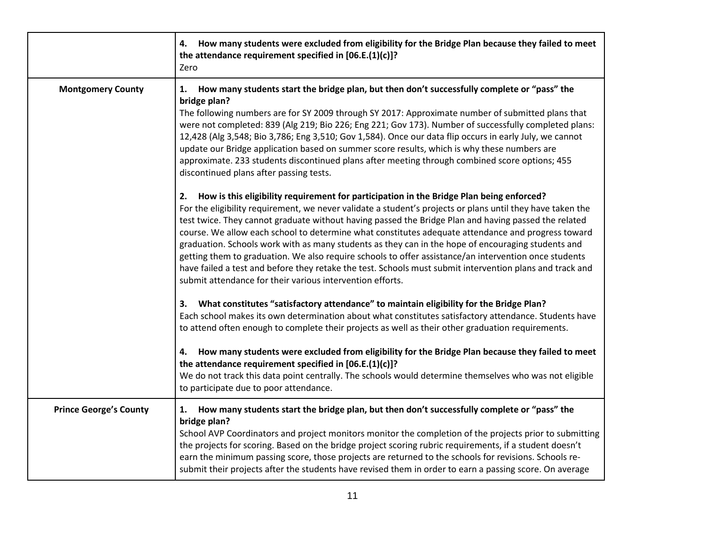|                               | How many students were excluded from eligibility for the Bridge Plan because they failed to meet<br>4.<br>the attendance requirement specified in [06.E.(1)(c)]?<br>Zero                                                                                                                                                                                                                                                                                                                                                                                                                                                                                                                                                                                                                                           |
|-------------------------------|--------------------------------------------------------------------------------------------------------------------------------------------------------------------------------------------------------------------------------------------------------------------------------------------------------------------------------------------------------------------------------------------------------------------------------------------------------------------------------------------------------------------------------------------------------------------------------------------------------------------------------------------------------------------------------------------------------------------------------------------------------------------------------------------------------------------|
| <b>Montgomery County</b>      | How many students start the bridge plan, but then don't successfully complete or "pass" the<br>1.<br>bridge plan?<br>The following numbers are for SY 2009 through SY 2017: Approximate number of submitted plans that<br>were not completed: 839 (Alg 219; Bio 226; Eng 221; Gov 173). Number of successfully completed plans:<br>12,428 (Alg 3,548; Bio 3,786; Eng 3,510; Gov 1,584). Once our data flip occurs in early July, we cannot<br>update our Bridge application based on summer score results, which is why these numbers are<br>approximate. 233 students discontinued plans after meeting through combined score options; 455<br>discontinued plans after passing tests.                                                                                                                             |
|                               | How is this eligibility requirement for participation in the Bridge Plan being enforced?<br>2.<br>For the eligibility requirement, we never validate a student's projects or plans until they have taken the<br>test twice. They cannot graduate without having passed the Bridge Plan and having passed the related<br>course. We allow each school to determine what constitutes adequate attendance and progress toward<br>graduation. Schools work with as many students as they can in the hope of encouraging students and<br>getting them to graduation. We also require schools to offer assistance/an intervention once students<br>have failed a test and before they retake the test. Schools must submit intervention plans and track and<br>submit attendance for their various intervention efforts. |
|                               | What constitutes "satisfactory attendance" to maintain eligibility for the Bridge Plan?<br>3.<br>Each school makes its own determination about what constitutes satisfactory attendance. Students have<br>to attend often enough to complete their projects as well as their other graduation requirements.                                                                                                                                                                                                                                                                                                                                                                                                                                                                                                        |
|                               | How many students were excluded from eligibility for the Bridge Plan because they failed to meet<br>4.<br>the attendance requirement specified in [06.E.(1)(c)]?<br>We do not track this data point centrally. The schools would determine themselves who was not eligible<br>to participate due to poor attendance.                                                                                                                                                                                                                                                                                                                                                                                                                                                                                               |
| <b>Prince George's County</b> | 1. How many students start the bridge plan, but then don't successfully complete or "pass" the<br>bridge plan?<br>School AVP Coordinators and project monitors monitor the completion of the projects prior to submitting<br>the projects for scoring. Based on the bridge project scoring rubric requirements, if a student doesn't<br>earn the minimum passing score, those projects are returned to the schools for revisions. Schools re-<br>submit their projects after the students have revised them in order to earn a passing score. On average                                                                                                                                                                                                                                                           |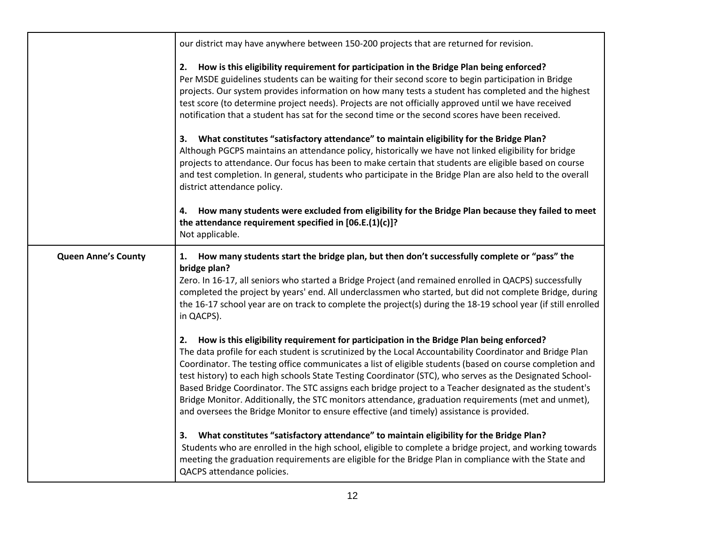|                            | our district may have anywhere between 150-200 projects that are returned for revision.                                                                                                                                                                                                                                                                                                                                                                                                                                                                                                                                                                                                                                                         |
|----------------------------|-------------------------------------------------------------------------------------------------------------------------------------------------------------------------------------------------------------------------------------------------------------------------------------------------------------------------------------------------------------------------------------------------------------------------------------------------------------------------------------------------------------------------------------------------------------------------------------------------------------------------------------------------------------------------------------------------------------------------------------------------|
|                            | How is this eligibility requirement for participation in the Bridge Plan being enforced?<br>2.<br>Per MSDE guidelines students can be waiting for their second score to begin participation in Bridge<br>projects. Our system provides information on how many tests a student has completed and the highest<br>test score (to determine project needs). Projects are not officially approved until we have received<br>notification that a student has sat for the second time or the second scores have been received.                                                                                                                                                                                                                        |
|                            | What constitutes "satisfactory attendance" to maintain eligibility for the Bridge Plan?<br>3.<br>Although PGCPS maintains an attendance policy, historically we have not linked eligibility for bridge<br>projects to attendance. Our focus has been to make certain that students are eligible based on course<br>and test completion. In general, students who participate in the Bridge Plan are also held to the overall<br>district attendance policy.                                                                                                                                                                                                                                                                                     |
|                            | How many students were excluded from eligibility for the Bridge Plan because they failed to meet<br>4.<br>the attendance requirement specified in [06.E.(1)(c)]?<br>Not applicable.                                                                                                                                                                                                                                                                                                                                                                                                                                                                                                                                                             |
| <b>Queen Anne's County</b> | How many students start the bridge plan, but then don't successfully complete or "pass" the<br>1.<br>bridge plan?<br>Zero. In 16-17, all seniors who started a Bridge Project (and remained enrolled in QACPS) successfully<br>completed the project by years' end. All underclassmen who started, but did not complete Bridge, during<br>the 16-17 school year are on track to complete the project(s) during the 18-19 school year (if still enrolled<br>in QACPS).                                                                                                                                                                                                                                                                           |
|                            | How is this eligibility requirement for participation in the Bridge Plan being enforced?<br>2.<br>The data profile for each student is scrutinized by the Local Accountability Coordinator and Bridge Plan<br>Coordinator. The testing office communicates a list of eligible students (based on course completion and<br>test history) to each high schools State Testing Coordinator (STC), who serves as the Designated School-<br>Based Bridge Coordinator. The STC assigns each bridge project to a Teacher designated as the student's<br>Bridge Monitor. Additionally, the STC monitors attendance, graduation requirements (met and unmet),<br>and oversees the Bridge Monitor to ensure effective (and timely) assistance is provided. |
|                            | What constitutes "satisfactory attendance" to maintain eligibility for the Bridge Plan?<br>3.<br>Students who are enrolled in the high school, eligible to complete a bridge project, and working towards<br>meeting the graduation requirements are eligible for the Bridge Plan in compliance with the State and<br>QACPS attendance policies.                                                                                                                                                                                                                                                                                                                                                                                                |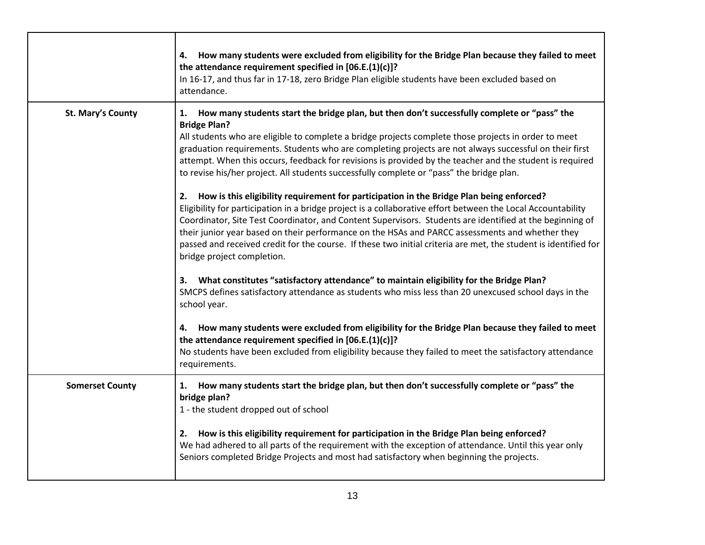|                        | How many students were excluded from eligibility for the Bridge Plan because they failed to meet<br>4.<br>the attendance requirement specified in [06.E.(1)(c)]?<br>In 16-17, and thus far in 17-18, zero Bridge Plan eligible students have been excluded based on<br>attendance.                                                                                                                                                                                                                                                                                             |
|------------------------|--------------------------------------------------------------------------------------------------------------------------------------------------------------------------------------------------------------------------------------------------------------------------------------------------------------------------------------------------------------------------------------------------------------------------------------------------------------------------------------------------------------------------------------------------------------------------------|
| St. Mary's County      | How many students start the bridge plan, but then don't successfully complete or "pass" the<br>1.<br><b>Bridge Plan?</b><br>All students who are eligible to complete a bridge projects complete those projects in order to meet<br>graduation requirements. Students who are completing projects are not always successful on their first<br>attempt. When this occurs, feedback for revisions is provided by the teacher and the student is required<br>to revise his/her project. All students successfully complete or "pass" the bridge plan.                             |
|                        | How is this eligibility requirement for participation in the Bridge Plan being enforced?<br>2.<br>Eligibility for participation in a bridge project is a collaborative effort between the Local Accountability<br>Coordinator, Site Test Coordinator, and Content Supervisors. Students are identified at the beginning of<br>their junior year based on their performance on the HSAs and PARCC assessments and whether they<br>passed and received credit for the course. If these two initial criteria are met, the student is identified for<br>bridge project completion. |
|                        | What constitutes "satisfactory attendance" to maintain eligibility for the Bridge Plan?<br>3.<br>SMCPS defines satisfactory attendance as students who miss less than 20 unexcused school days in the<br>school year.                                                                                                                                                                                                                                                                                                                                                          |
|                        | How many students were excluded from eligibility for the Bridge Plan because they failed to meet<br>4.<br>the attendance requirement specified in $[06.E.(1)(c)]$ ?<br>No students have been excluded from eligibility because they failed to meet the satisfactory attendance<br>requirements.                                                                                                                                                                                                                                                                                |
| <b>Somerset County</b> | How many students start the bridge plan, but then don't successfully complete or "pass" the<br>1.<br>bridge plan?<br>1 - the student dropped out of school                                                                                                                                                                                                                                                                                                                                                                                                                     |
|                        | How is this eligibility requirement for participation in the Bridge Plan being enforced?<br>2.<br>We had adhered to all parts of the requirement with the exception of attendance. Until this year only<br>Seniors completed Bridge Projects and most had satisfactory when beginning the projects.                                                                                                                                                                                                                                                                            |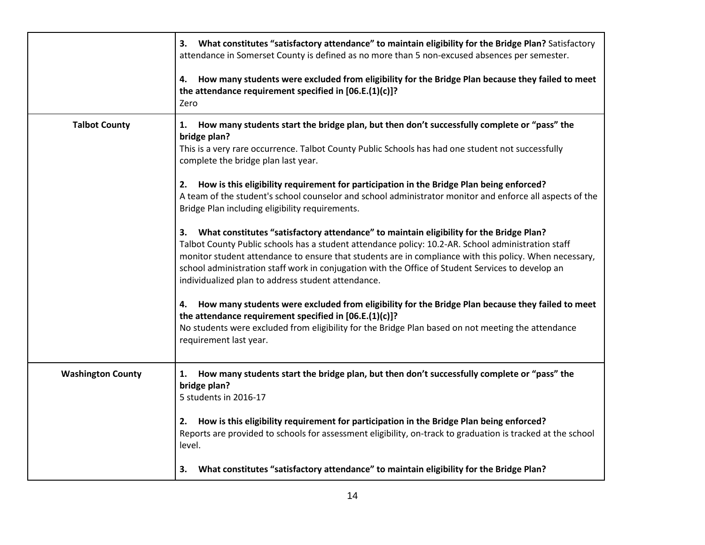|                          | 3. What constitutes "satisfactory attendance" to maintain eligibility for the Bridge Plan? Satisfactory<br>attendance in Somerset County is defined as no more than 5 non-excused absences per semester.<br>How many students were excluded from eligibility for the Bridge Plan because they failed to meet<br>4.                                                                                                                                                       |
|--------------------------|--------------------------------------------------------------------------------------------------------------------------------------------------------------------------------------------------------------------------------------------------------------------------------------------------------------------------------------------------------------------------------------------------------------------------------------------------------------------------|
|                          | the attendance requirement specified in [06.E.(1)(c)]?<br>Zero                                                                                                                                                                                                                                                                                                                                                                                                           |
| <b>Talbot County</b>     | How many students start the bridge plan, but then don't successfully complete or "pass" the<br>1.<br>bridge plan?<br>This is a very rare occurrence. Talbot County Public Schools has had one student not successfully<br>complete the bridge plan last year.                                                                                                                                                                                                            |
|                          | How is this eligibility requirement for participation in the Bridge Plan being enforced?<br>2.<br>A team of the student's school counselor and school administrator monitor and enforce all aspects of the<br>Bridge Plan including eligibility requirements.                                                                                                                                                                                                            |
|                          | What constitutes "satisfactory attendance" to maintain eligibility for the Bridge Plan?<br>3.<br>Talbot County Public schools has a student attendance policy: 10.2-AR. School administration staff<br>monitor student attendance to ensure that students are in compliance with this policy. When necessary,<br>school administration staff work in conjugation with the Office of Student Services to develop an<br>individualized plan to address student attendance. |
|                          | How many students were excluded from eligibility for the Bridge Plan because they failed to meet<br>4.<br>the attendance requirement specified in [06.E.(1)(c)]?<br>No students were excluded from eligibility for the Bridge Plan based on not meeting the attendance<br>requirement last year.                                                                                                                                                                         |
| <b>Washington County</b> | How many students start the bridge plan, but then don't successfully complete or "pass" the<br>1.<br>bridge plan?<br>5 students in 2016-17                                                                                                                                                                                                                                                                                                                               |
|                          | How is this eligibility requirement for participation in the Bridge Plan being enforced?<br>2.<br>Reports are provided to schools for assessment eligibility, on-track to graduation is tracked at the school<br>level.                                                                                                                                                                                                                                                  |
|                          | What constitutes "satisfactory attendance" to maintain eligibility for the Bridge Plan?<br>3.                                                                                                                                                                                                                                                                                                                                                                            |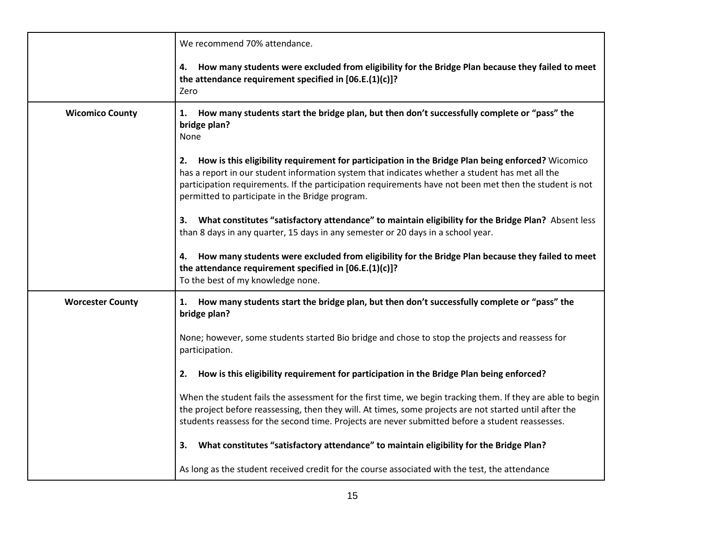|                         | We recommend 70% attendance.                                                                                                                                                                                                                                                                                                                                             |
|-------------------------|--------------------------------------------------------------------------------------------------------------------------------------------------------------------------------------------------------------------------------------------------------------------------------------------------------------------------------------------------------------------------|
|                         | How many students were excluded from eligibility for the Bridge Plan because they failed to meet<br>4.<br>the attendance requirement specified in [06.E.(1)(c)]?<br>Zero                                                                                                                                                                                                 |
| <b>Wicomico County</b>  | How many students start the bridge plan, but then don't successfully complete or "pass" the<br>1.<br>bridge plan?<br>None                                                                                                                                                                                                                                                |
|                         | How is this eligibility requirement for participation in the Bridge Plan being enforced? Wicomico<br>2.<br>has a report in our student information system that indicates whether a student has met all the<br>participation requirements. If the participation requirements have not been met then the student is not<br>permitted to participate in the Bridge program. |
|                         | What constitutes "satisfactory attendance" to maintain eligibility for the Bridge Plan? Absent less<br>З.<br>than 8 days in any quarter, 15 days in any semester or 20 days in a school year.                                                                                                                                                                            |
|                         | How many students were excluded from eligibility for the Bridge Plan because they failed to meet<br>4.<br>the attendance requirement specified in [06.E.(1)(c)]?<br>To the best of my knowledge none.                                                                                                                                                                    |
| <b>Worcester County</b> | 1. How many students start the bridge plan, but then don't successfully complete or "pass" the<br>bridge plan?                                                                                                                                                                                                                                                           |
|                         | None; however, some students started Bio bridge and chose to stop the projects and reassess for<br>participation.                                                                                                                                                                                                                                                        |
|                         | How is this eligibility requirement for participation in the Bridge Plan being enforced?<br>2.                                                                                                                                                                                                                                                                           |
|                         | When the student fails the assessment for the first time, we begin tracking them. If they are able to begin<br>the project before reassessing, then they will. At times, some projects are not started until after the<br>students reassess for the second time. Projects are never submitted before a student reassesses.                                               |
|                         | What constitutes "satisfactory attendance" to maintain eligibility for the Bridge Plan?<br>3.                                                                                                                                                                                                                                                                            |
|                         | As long as the student received credit for the course associated with the test, the attendance                                                                                                                                                                                                                                                                           |